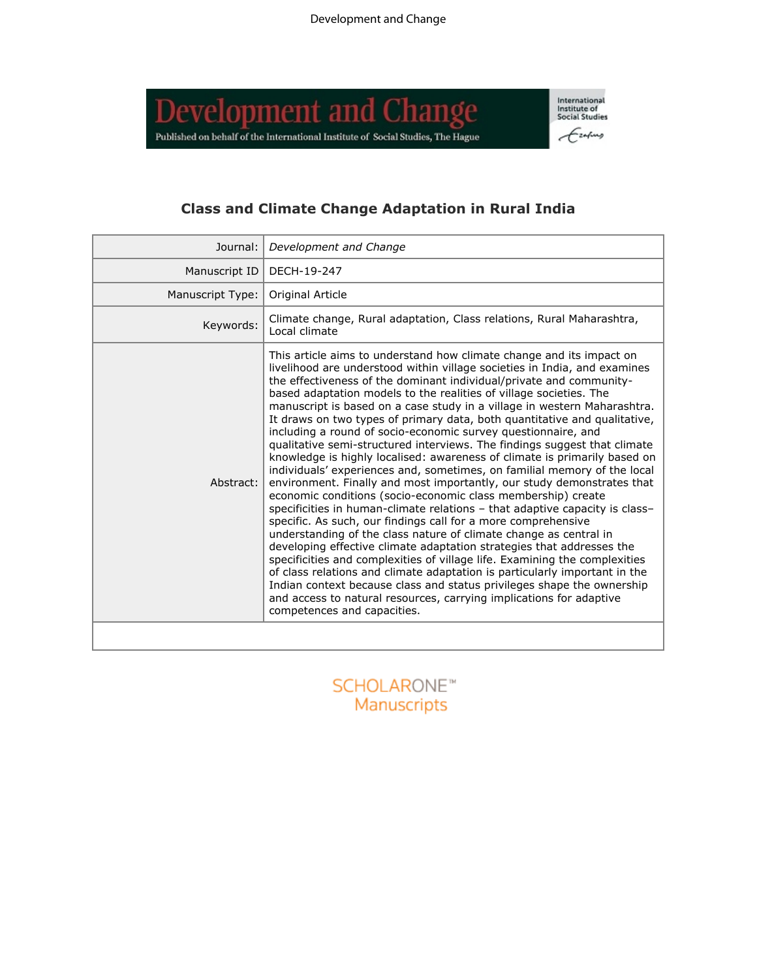**Development and Change** Published on behalf of the International Institute of Social Studies, The Hague International<br>Institute of<br>Social Studies Ezapus

# **Class and Climate Change Adaptation in Rural India**

| Journal:         | Development and Change                                                                                                                                                                                                                                                                                                                                                                                                                                                                                                                                                                                                                                                                                                                                                                                                                                                                                                                                                                                                                                                                                                                                                                                                                                                                                                                                                                                                                                                                                                                             |
|------------------|----------------------------------------------------------------------------------------------------------------------------------------------------------------------------------------------------------------------------------------------------------------------------------------------------------------------------------------------------------------------------------------------------------------------------------------------------------------------------------------------------------------------------------------------------------------------------------------------------------------------------------------------------------------------------------------------------------------------------------------------------------------------------------------------------------------------------------------------------------------------------------------------------------------------------------------------------------------------------------------------------------------------------------------------------------------------------------------------------------------------------------------------------------------------------------------------------------------------------------------------------------------------------------------------------------------------------------------------------------------------------------------------------------------------------------------------------------------------------------------------------------------------------------------------------|
| Manuscript ID    | DECH-19-247                                                                                                                                                                                                                                                                                                                                                                                                                                                                                                                                                                                                                                                                                                                                                                                                                                                                                                                                                                                                                                                                                                                                                                                                                                                                                                                                                                                                                                                                                                                                        |
| Manuscript Type: | Original Article                                                                                                                                                                                                                                                                                                                                                                                                                                                                                                                                                                                                                                                                                                                                                                                                                                                                                                                                                                                                                                                                                                                                                                                                                                                                                                                                                                                                                                                                                                                                   |
| Keywords:        | Climate change, Rural adaptation, Class relations, Rural Maharashtra,<br>Local climate                                                                                                                                                                                                                                                                                                                                                                                                                                                                                                                                                                                                                                                                                                                                                                                                                                                                                                                                                                                                                                                                                                                                                                                                                                                                                                                                                                                                                                                             |
| Abstract:        | This article aims to understand how climate change and its impact on<br>livelihood are understood within village societies in India, and examines<br>the effectiveness of the dominant individual/private and community-<br>based adaptation models to the realities of village societies. The<br>manuscript is based on a case study in a village in western Maharashtra.<br>It draws on two types of primary data, both quantitative and qualitative,<br>including a round of socio-economic survey questionnaire, and<br>qualitative semi-structured interviews. The findings suggest that climate<br>knowledge is highly localised: awareness of climate is primarily based on<br>individuals' experiences and, sometimes, on familial memory of the local<br>environment. Finally and most importantly, our study demonstrates that<br>economic conditions (socio-economic class membership) create<br>specificities in human-climate relations - that adaptive capacity is class-<br>specific. As such, our findings call for a more comprehensive<br>understanding of the class nature of climate change as central in<br>developing effective climate adaptation strategies that addresses the<br>specificities and complexities of village life. Examining the complexities<br>of class relations and climate adaptation is particularly important in the<br>Indian context because class and status privileges shape the ownership<br>and access to natural resources, carrying implications for adaptive<br>competences and capacities. |
|                  |                                                                                                                                                                                                                                                                                                                                                                                                                                                                                                                                                                                                                                                                                                                                                                                                                                                                                                                                                                                                                                                                                                                                                                                                                                                                                                                                                                                                                                                                                                                                                    |

SCHOLARONE<sup>™</sup><br>Manuscripts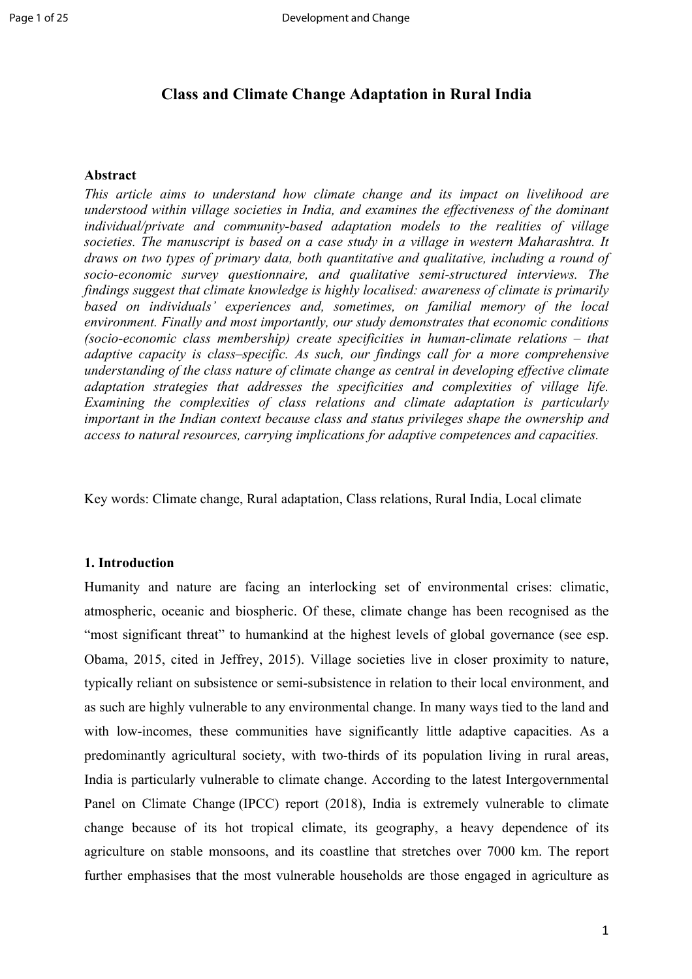## **Class and Climate Change Adaptation in Rural India**

## **Abstract**

*This article aims to understand how climate change and its impact on livelihood are understood within village societies in India, and examines the effectiveness of the dominant individual/private and community-based adaptation models to the realities of village societies. The manuscript is based on a case study in a village in western Maharashtra. It draws on two types of primary data, both quantitative and qualitative, including a round of socio-economic survey questionnaire, and qualitative semi-structured interviews. The findings suggest that climate knowledge is highly localised: awareness of climate is primarily based on individuals' experiences and, sometimes, on familial memory of the local environment. Finally and most importantly, our study demonstrates that economic conditions (socio-economic class membership) create specificities in human-climate relations – that adaptive capacity is class–specific. As such, our findings call for a more comprehensive understanding of the class nature of climate change as central in developing effective climate adaptation strategies that addresses the specificities and complexities of village life. Examining the complexities of class relations and climate adaptation is particularly important in the Indian context because class and status privileges shape the ownership and access to natural resources, carrying implications for adaptive competences and capacities.* 

Key words: Climate change, Rural adaptation, Class relations, Rural India, Local climate

#### **1. Introduction**

Humanity and nature are facing an interlocking set of environmental crises: climatic, atmospheric, oceanic and biospheric. Of these, climate change has been recognised as the "most significant threat" to humankind at the highest levels of global governance (see esp. Obama, 2015, cited in Jeffrey, 2015). Village societies live in closer proximity to nature, typically reliant on subsistence or semi-subsistence in relation to their local environment, and as such are highly vulnerable to any environmental change. In many ways tied to the land and with low-incomes, these communities have significantly little adaptive capacities. As a predominantly agricultural society, with two-thirds of its population living in rural areas, India is particularly vulnerable to climate change. According to the latest Intergovernmental Panel on Climate Change (IPCC) report (2018), India is extremely vulnerable to climate change because of its hot tropical climate, its geography, a heavy dependence of its agriculture on stable monsoons, and its coastline that stretches over 7000 km. The report further emphasises that the most vulnerable households are those engaged in agriculture as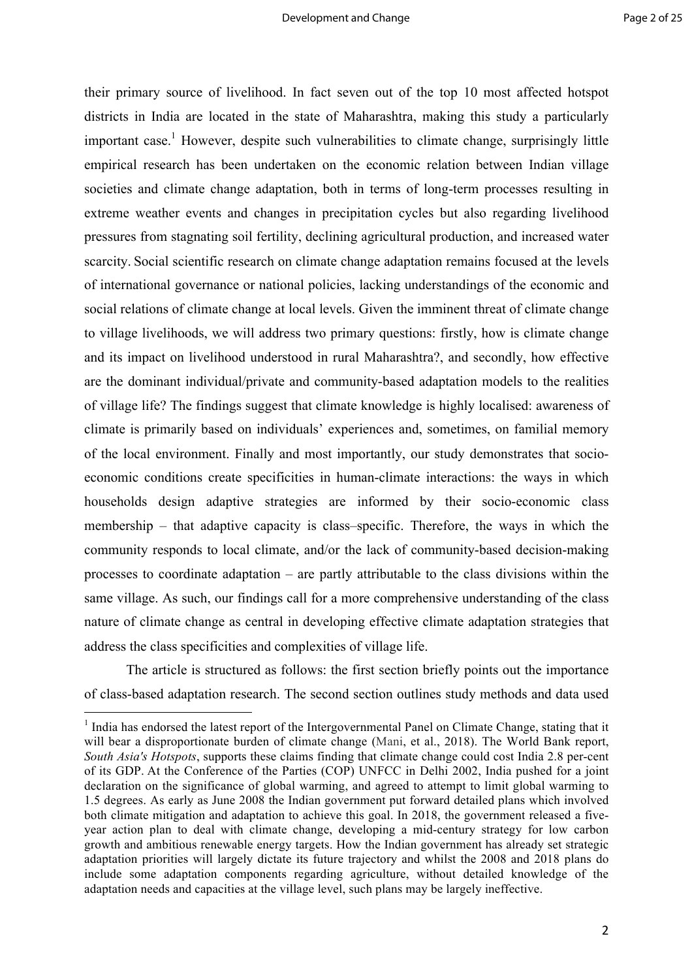their primary source of livelihood. In fact seven out of the top 10 most affected hotspot districts in India are located in the state of Maharashtra, making this study a particularly important case.<sup>1</sup> However, despite such vulnerabilities to climate change, surprisingly little empirical research has been undertaken on the economic relation between Indian village societies and climate change adaptation, both in terms of long-term processes resulting in extreme weather events and changes in precipitation cycles but also regarding livelihood pressures from stagnating soil fertility, declining agricultural production, and increased water scarcity. Social scientific research on climate change adaptation remains focused at the levels of international governance or national policies, lacking understandings of the economic and social relations of climate change at local levels. Given the imminent threat of climate change to village livelihoods, we will address two primary questions: firstly, how is climate change and its impact on livelihood understood in rural Maharashtra?, and secondly, how effective are the dominant individual/private and community-based adaptation models to the realities of village life? The findings suggest that climate knowledge is highly localised: awareness of climate is primarily based on individuals' experiences and, sometimes, on familial memory of the local environment. Finally and most importantly, our study demonstrates that socioeconomic conditions create specificities in human-climate interactions: the ways in which households design adaptive strategies are informed by their socio-economic class membership – that adaptive capacity is class–specific. Therefore, the ways in which the community responds to local climate, and/or the lack of community-based decision-making processes to coordinate adaptation – are partly attributable to the class divisions within the same village. As such, our findings call for a more comprehensive understanding of the class nature of climate change as central in developing effective climate adaptation strategies that address the class specificities and complexities of village life.

The article is structured as follows: the first section briefly points out the importance of class-based adaptation research. The second section outlines study methods and data used

<sup>&</sup>lt;sup>1</sup> India has endorsed the latest report of the Intergovernmental Panel on Climate Change, stating that it will bear a disproportionate burden of climate change (Mani, et al., 2018). The World Bank report, *South Asia's Hotspots*, supports these claims finding that climate change could cost India 2.8 per-cent of its GDP. At the Conference of the Parties (COP) UNFCC in Delhi 2002, India pushed for a joint declaration on the significance of global warming, and agreed to attempt to limit global warming to 1.5 degrees. As early as June 2008 the Indian government put forward detailed plans which involved both climate mitigation and adaptation to achieve this goal. In 2018, the government released a fiveyear action plan to deal with climate change, developing a mid-century strategy for low carbon growth and ambitious renewable energy targets. How the Indian government has already set strategic adaptation priorities will largely dictate its future trajectory and whilst the 2008 and 2018 plans do include some adaptation components regarding agriculture, without detailed knowledge of the adaptation needs and capacities at the village level, such plans may be largely ineffective.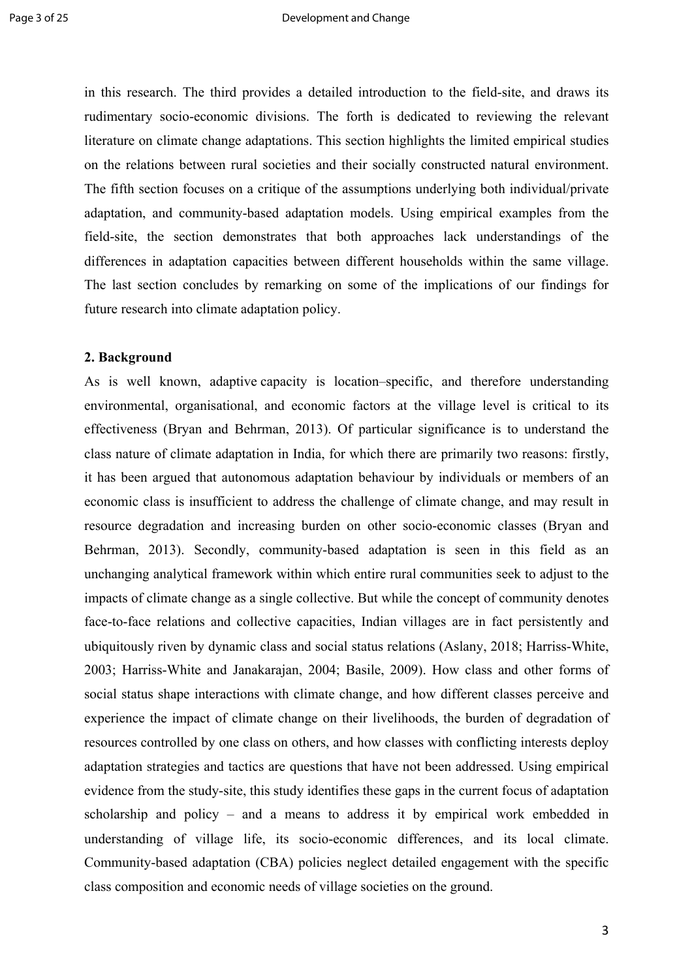in this research. The third provides a detailed introduction to the field-site, and draws its rudimentary socio-economic divisions. The forth is dedicated to reviewing the relevant literature on climate change adaptations. This section highlights the limited empirical studies on the relations between rural societies and their socially constructed natural environment. The fifth section focuses on a critique of the assumptions underlying both individual/private adaptation, and community-based adaptation models. Using empirical examples from the field-site, the section demonstrates that both approaches lack understandings of the differences in adaptation capacities between different households within the same village. The last section concludes by remarking on some of the implications of our findings for future research into climate adaptation policy.

#### **2. Background**

As is well known, adaptive capacity is location–specific, and therefore understanding environmental, organisational, and economic factors at the village level is critical to its effectiveness (Bryan and Behrman, 2013). Of particular significance is to understand the class nature of climate adaptation in India, for which there are primarily two reasons: firstly, it has been argued that autonomous adaptation behaviour by individuals or members of an economic class is insufficient to address the challenge of climate change, and may result in resource degradation and increasing burden on other socio-economic classes (Bryan and Behrman, 2013). Secondly, community-based adaptation is seen in this field as an unchanging analytical framework within which entire rural communities seek to adjust to the impacts of climate change as a single collective. But while the concept of community denotes face-to-face relations and collective capacities, Indian villages are in fact persistently and ubiquitously riven by dynamic class and social status relations (Aslany, 2018; Harriss-White, 2003; Harriss-White and Janakarajan, 2004; Basile, 2009). How class and other forms of social status shape interactions with climate change, and how different classes perceive and experience the impact of climate change on their livelihoods, the burden of degradation of resources controlled by one class on others, and how classes with conflicting interests deploy adaptation strategies and tactics are questions that have not been addressed. Using empirical evidence from the study-site, this study identifies these gaps in the current focus of adaptation scholarship and policy – and a means to address it by empirical work embedded in understanding of village life, its socio-economic differences, and its local climate. Community-based adaptation (CBA) policies neglect detailed engagement with the specific class composition and economic needs of village societies on the ground.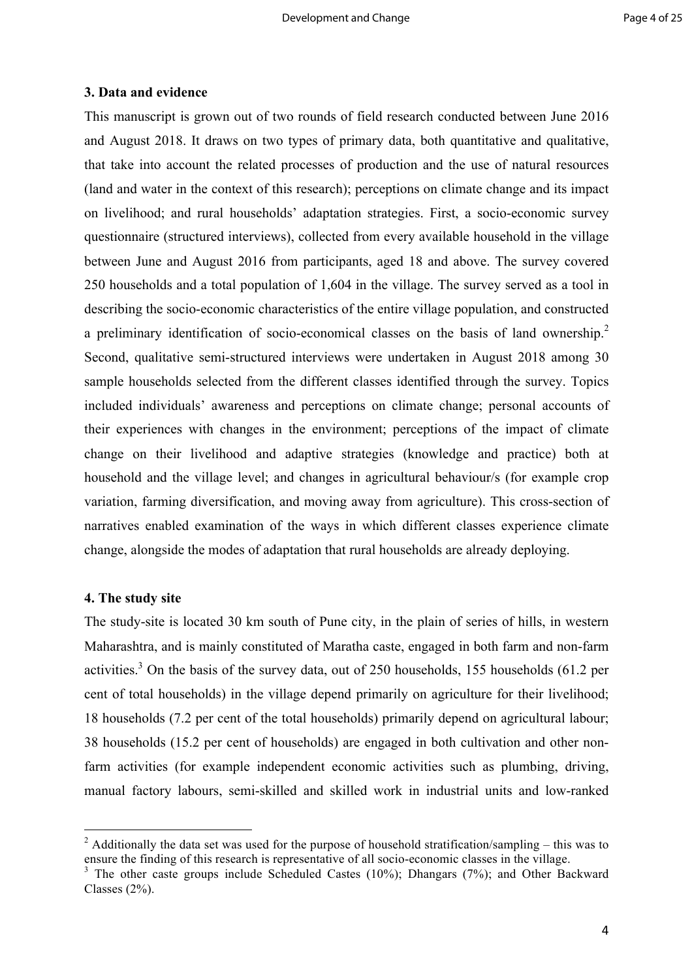## **3. Data and evidence**

This manuscript is grown out of two rounds of field research conducted between June 2016 and August 2018. It draws on two types of primary data, both quantitative and qualitative, that take into account the related processes of production and the use of natural resources (land and water in the context of this research); perceptions on climate change and its impact on livelihood; and rural households' adaptation strategies. First, a socio-economic survey questionnaire (structured interviews), collected from every available household in the village between June and August 2016 from participants, aged 18 and above. The survey covered 250 households and a total population of 1,604 in the village. The survey served as a tool in describing the socio-economic characteristics of the entire village population, and constructed a preliminary identification of socio-economical classes on the basis of land ownership.<sup>2</sup> Second, qualitative semi-structured interviews were undertaken in August 2018 among 30 sample households selected from the different classes identified through the survey. Topics included individuals' awareness and perceptions on climate change; personal accounts of their experiences with changes in the environment; perceptions of the impact of climate change on their livelihood and adaptive strategies (knowledge and practice) both at household and the village level; and changes in agricultural behaviour/s (for example crop variation, farming diversification, and moving away from agriculture). This cross-section of narratives enabled examination of the ways in which different classes experience climate change, alongside the modes of adaptation that rural households are already deploying.

## **4. The study site**

 

The study-site is located 30 km south of Pune city, in the plain of series of hills, in western Maharashtra, and is mainly constituted of Maratha caste, engaged in both farm and non-farm activities.<sup>3</sup> On the basis of the survey data, out of 250 households, 155 households (61.2 per cent of total households) in the village depend primarily on agriculture for their livelihood; 18 households (7.2 per cent of the total households) primarily depend on agricultural labour; 38 households (15.2 per cent of households) are engaged in both cultivation and other nonfarm activities (for example independent economic activities such as plumbing, driving, manual factory labours, semi-skilled and skilled work in industrial units and low-ranked

<sup>&</sup>lt;sup>2</sup> Additionally the data set was used for the purpose of household stratification/sampling – this was to ensure the finding of this research is representative of all socio-economic classes in the village.

<sup>&</sup>lt;sup>3</sup> The other caste groups include Scheduled Castes (10%); Dhangars (7%); and Other Backward Classes (2%).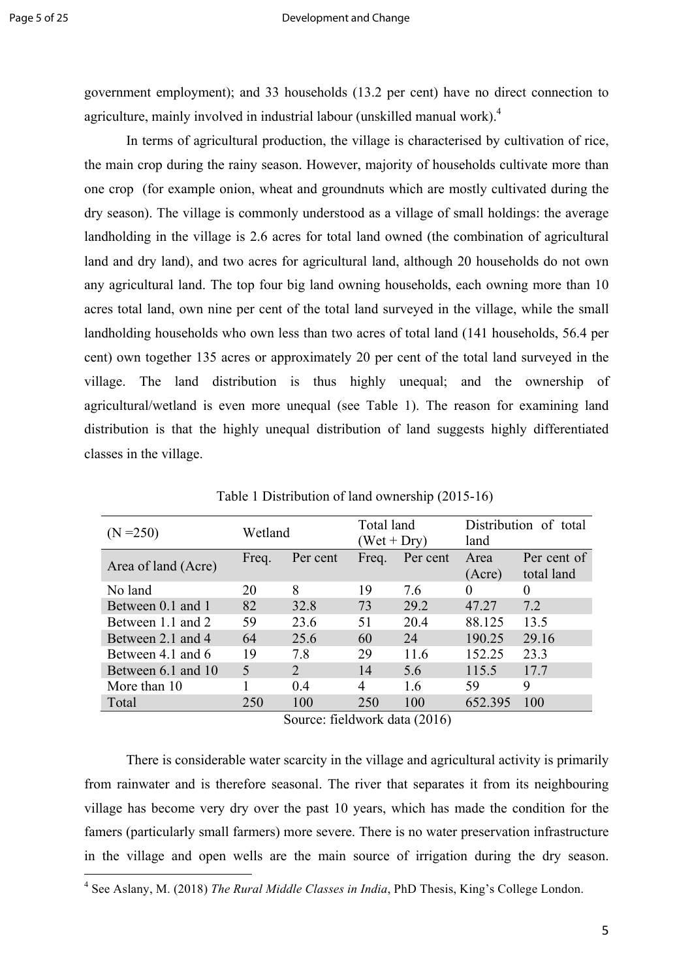government employment); and 33 households (13.2 per cent) have no direct connection to agriculture, mainly involved in industrial labour (unskilled manual work). 4

In terms of agricultural production, the village is characterised by cultivation of rice, the main crop during the rainy season. However, majority of households cultivate more than one crop (for example onion, wheat and groundnuts which are mostly cultivated during the dry season). The village is commonly understood as a village of small holdings: the average landholding in the village is 2.6 acres for total land owned (the combination of agricultural land and dry land), and two acres for agricultural land, although 20 households do not own any agricultural land. The top four big land owning households, each owning more than 10 acres total land, own nine per cent of the total land surveyed in the village, while the small landholding households who own less than two acres of total land (141 households, 56.4 per cent) own together 135 acres or approximately 20 per cent of the total land surveyed in the village. The land distribution is thus highly unequal; and the ownership of agricultural/wetland is even more unequal (see Table 1). The reason for examining land distribution is that the highly unequal distribution of land suggests highly differentiated classes in the village.

| $(N = 250)$         | Wetland                  |                             | Total land<br>$(Wet + Dry)$ |          | Distribution of total<br>land |                           |
|---------------------|--------------------------|-----------------------------|-----------------------------|----------|-------------------------------|---------------------------|
| Area of land (Acre) | Freq.                    | Per cent                    | Freq.                       | Per cent | Area<br>(Acre)                | Per cent of<br>total land |
| No land             | 20                       | 8                           | 19                          | 7.6      | $\theta$                      | $\Omega$                  |
| Between 0.1 and 1   | 82                       | 32.8                        | 73                          | 29.2     | 47.27                         | 7.2                       |
| Between 1.1 and 2   | 59                       | 23.6                        | 51                          | 20.4     | 88.125                        | 13.5                      |
| Between 2.1 and 4   | 64                       | 25.6                        | 60                          | 24       | 190.25                        | 29.16                     |
| Between 4.1 and 6   | 19                       | 7.8                         | 29                          | 11.6     | 152.25                        | 23.3                      |
| Between 6.1 and 10  | $\overline{\mathcal{L}}$ | $\mathcal{D}_{\mathcal{A}}$ | 14                          | 5.6      | 115.5                         | 17.7                      |
| More than 10        |                          | 04                          | 4                           | 1.6      | 59                            | 9                         |
| Total               | 250                      | 100                         | 250                         | 100      | 652.395                       | 100                       |

Table 1 Distribution of land ownership (2015-16)

Source: fieldwork data (2016)

There is considerable water scarcity in the village and agricultural activity is primarily from rainwater and is therefore seasonal. The river that separates it from its neighbouring village has become very dry over the past 10 years, which has made the condition for the famers (particularly small farmers) more severe. There is no water preservation infrastructure in the village and open wells are the main source of irrigation during the dry season.

 <sup>4</sup> See Aslany, M. (2018) *The Rural Middle Classes in India*, PhD Thesis, King's College London.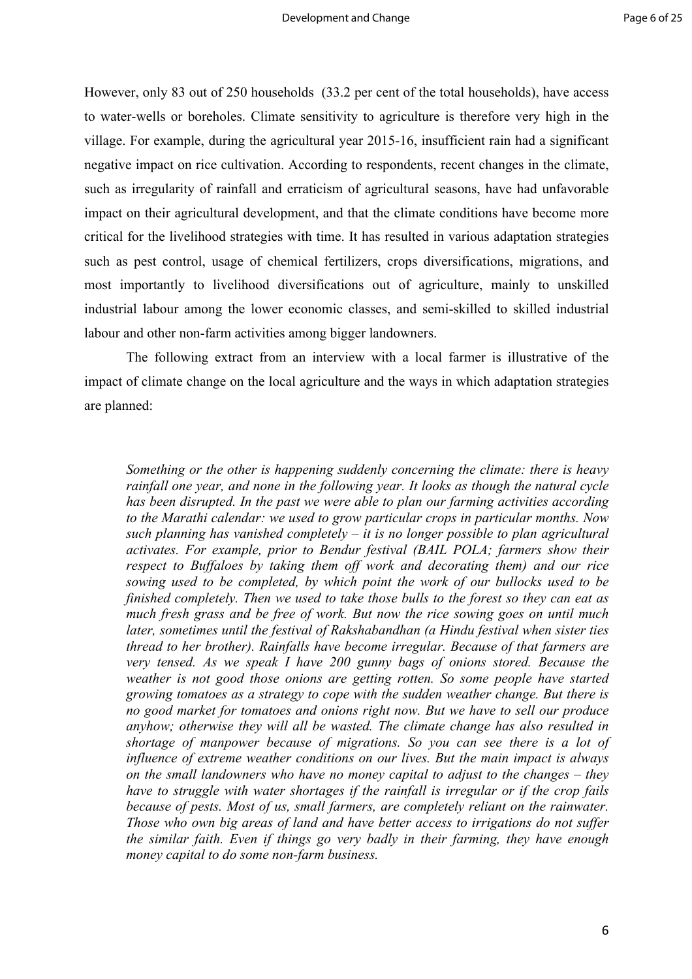However, only 83 out of 250 households (33.2 per cent of the total households), have access to water-wells or boreholes. Climate sensitivity to agriculture is therefore very high in the village. For example, during the agricultural year 2015-16, insufficient rain had a significant negative impact on rice cultivation. According to respondents, recent changes in the climate, such as irregularity of rainfall and erraticism of agricultural seasons, have had unfavorable impact on their agricultural development, and that the climate conditions have become more critical for the livelihood strategies with time. It has resulted in various adaptation strategies such as pest control, usage of chemical fertilizers, crops diversifications, migrations, and most importantly to livelihood diversifications out of agriculture, mainly to unskilled industrial labour among the lower economic classes, and semi-skilled to skilled industrial labour and other non-farm activities among bigger landowners.

The following extract from an interview with a local farmer is illustrative of the impact of climate change on the local agriculture and the ways in which adaptation strategies are planned:

*Something or the other is happening suddenly concerning the climate: there is heavy rainfall one year, and none in the following year. It looks as though the natural cycle has been disrupted. In the past we were able to plan our farming activities according to the Marathi calendar: we used to grow particular crops in particular months. Now such planning has vanished completely – it is no longer possible to plan agricultural activates. For example, prior to Bendur festival (BAIL POLA; farmers show their respect to Buffaloes by taking them off work and decorating them) and our rice sowing used to be completed, by which point the work of our bullocks used to be finished completely. Then we used to take those bulls to the forest so they can eat as much fresh grass and be free of work. But now the rice sowing goes on until much later, sometimes until the festival of Rakshabandhan (a Hindu festival when sister ties thread to her brother). Rainfalls have become irregular. Because of that farmers are very tensed. As we speak I have 200 gunny bags of onions stored. Because the weather is not good those onions are getting rotten. So some people have started growing tomatoes as a strategy to cope with the sudden weather change. But there is no good market for tomatoes and onions right now. But we have to sell our produce anyhow; otherwise they will all be wasted. The climate change has also resulted in shortage of manpower because of migrations. So you can see there is a lot of influence of extreme weather conditions on our lives. But the main impact is always on the small landowners who have no money capital to adjust to the changes – they have to struggle with water shortages if the rainfall is irregular or if the crop fails because of pests. Most of us, small farmers, are completely reliant on the rainwater. Those who own big areas of land and have better access to irrigations do not suffer the similar faith. Even if things go very badly in their farming, they have enough money capital to do some non-farm business.*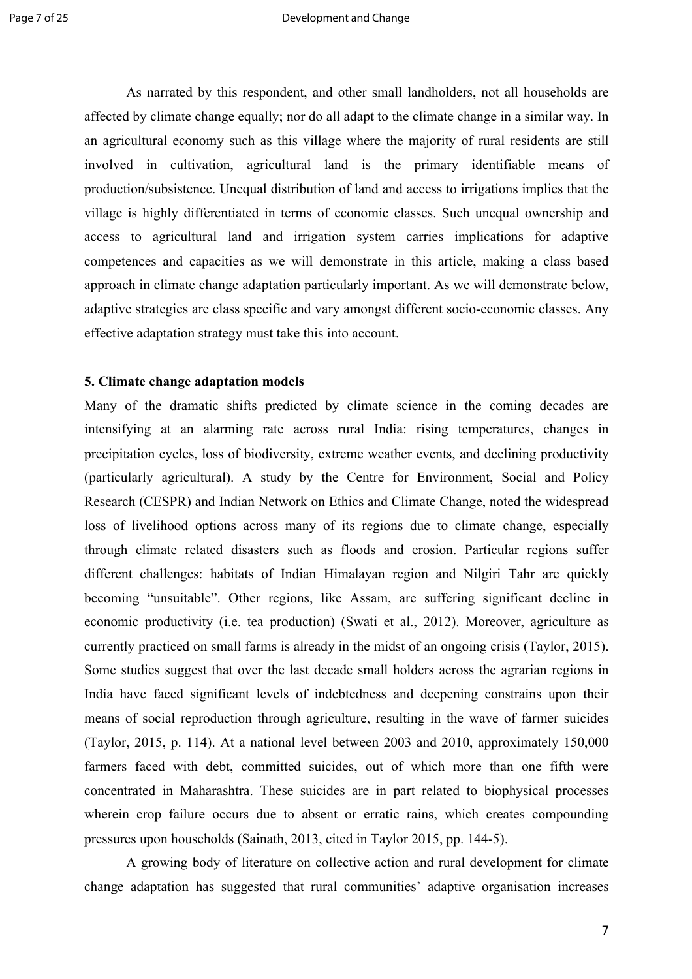As narrated by this respondent, and other small landholders, not all households are affected by climate change equally; nor do all adapt to the climate change in a similar way. In an agricultural economy such as this village where the majority of rural residents are still involved in cultivation, agricultural land is the primary identifiable means of production/subsistence. Unequal distribution of land and access to irrigations implies that the village is highly differentiated in terms of economic classes. Such unequal ownership and access to agricultural land and irrigation system carries implications for adaptive competences and capacities as we will demonstrate in this article, making a class based approach in climate change adaptation particularly important. As we will demonstrate below, adaptive strategies are class specific and vary amongst different socio-economic classes. Any effective adaptation strategy must take this into account.

## **5. Climate change adaptation models**

Many of the dramatic shifts predicted by climate science in the coming decades are intensifying at an alarming rate across rural India: rising temperatures, changes in precipitation cycles, loss of biodiversity, extreme weather events, and declining productivity (particularly agricultural). A study by the Centre for Environment, Social and Policy Research (CESPR) and Indian Network on Ethics and Climate Change, noted the widespread loss of livelihood options across many of its regions due to climate change, especially through climate related disasters such as floods and erosion. Particular regions suffer different challenges: habitats of Indian Himalayan region and Nilgiri Tahr are quickly becoming "unsuitable". Other regions, like Assam, are suffering significant decline in economic productivity (i.e. tea production) (Swati et al., 2012). Moreover, agriculture as currently practiced on small farms is already in the midst of an ongoing crisis (Taylor, 2015). Some studies suggest that over the last decade small holders across the agrarian regions in India have faced significant levels of indebtedness and deepening constrains upon their means of social reproduction through agriculture, resulting in the wave of farmer suicides (Taylor, 2015, p. 114). At a national level between 2003 and 2010, approximately 150,000 farmers faced with debt, committed suicides, out of which more than one fifth were concentrated in Maharashtra. These suicides are in part related to biophysical processes wherein crop failure occurs due to absent or erratic rains, which creates compounding pressures upon households (Sainath, 2013, cited in Taylor 2015, pp. 144-5).

A growing body of literature on collective action and rural development for climate change adaptation has suggested that rural communities' adaptive organisation increases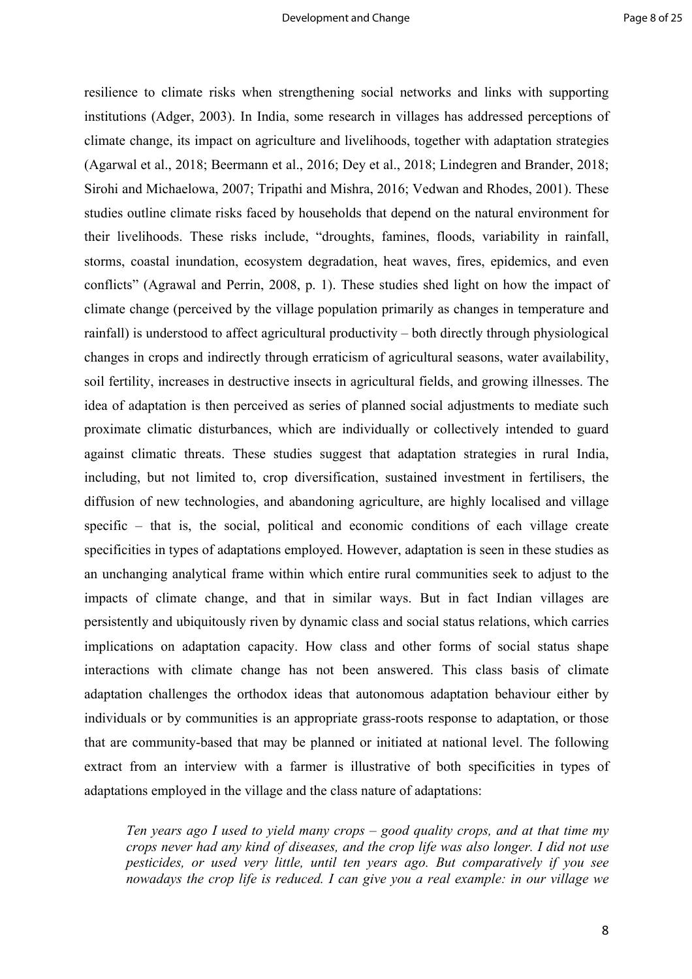resilience to climate risks when strengthening social networks and links with supporting institutions (Adger, 2003). In India, some research in villages has addressed perceptions of climate change, its impact on agriculture and livelihoods, together with adaptation strategies (Agarwal et al., 2018; Beermann et al., 2016; Dey et al., 2018; Lindegren and Brander, 2018; Sirohi and Michaelowa, 2007; Tripathi and Mishra, 2016; Vedwan and Rhodes, 2001). These studies outline climate risks faced by households that depend on the natural environment for their livelihoods. These risks include, "droughts, famines, floods, variability in rainfall, storms, coastal inundation, ecosystem degradation, heat waves, fires, epidemics, and even conflicts" (Agrawal and Perrin, 2008, p. 1). These studies shed light on how the impact of climate change (perceived by the village population primarily as changes in temperature and rainfall) is understood to affect agricultural productivity – both directly through physiological changes in crops and indirectly through erraticism of agricultural seasons, water availability, soil fertility, increases in destructive insects in agricultural fields, and growing illnesses. The idea of adaptation is then perceived as series of planned social adjustments to mediate such proximate climatic disturbances, which are individually or collectively intended to guard against climatic threats. These studies suggest that adaptation strategies in rural India, including, but not limited to, crop diversification, sustained investment in fertilisers, the diffusion of new technologies, and abandoning agriculture, are highly localised and village specific – that is, the social, political and economic conditions of each village create specificities in types of adaptations employed. However, adaptation is seen in these studies as an unchanging analytical frame within which entire rural communities seek to adjust to the impacts of climate change, and that in similar ways. But in fact Indian villages are persistently and ubiquitously riven by dynamic class and social status relations, which carries implications on adaptation capacity. How class and other forms of social status shape interactions with climate change has not been answered. This class basis of climate adaptation challenges the orthodox ideas that autonomous adaptation behaviour either by individuals or by communities is an appropriate grass-roots response to adaptation, or those that are community-based that may be planned or initiated at national level. The following extract from an interview with a farmer is illustrative of both specificities in types of adaptations employed in the village and the class nature of adaptations:

*Ten years ago I used to yield many crops – good quality crops, and at that time my crops never had any kind of diseases, and the crop life was also longer. I did not use pesticides, or used very little, until ten years ago. But comparatively if you see nowadays the crop life is reduced. I can give you a real example: in our village we*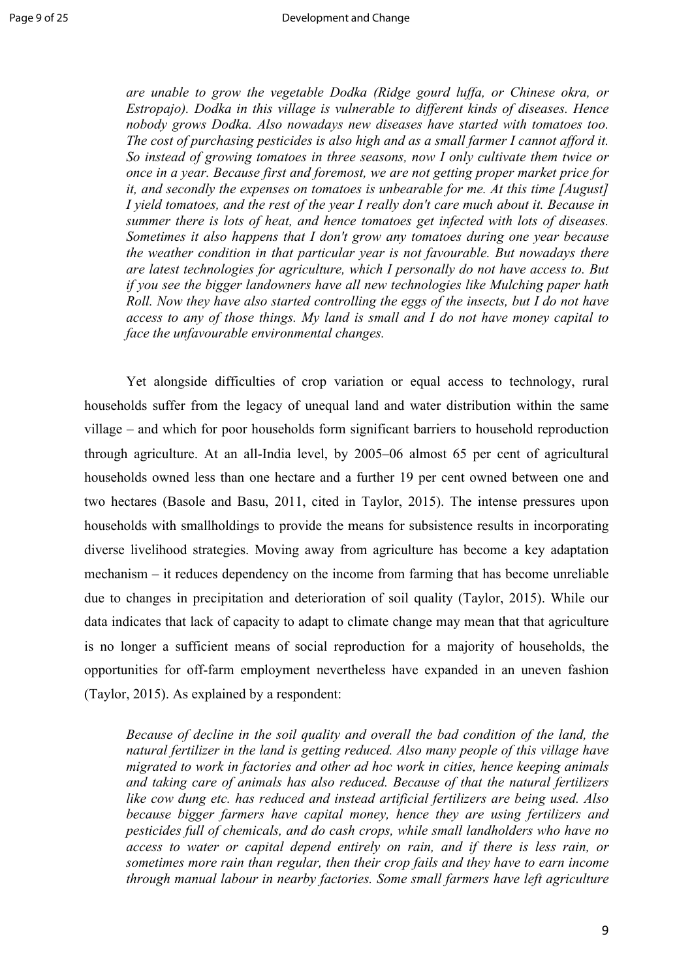*are unable to grow the vegetable Dodka (Ridge gourd luffa, or Chinese okra, or Estropajo). Dodka in this village is vulnerable to different kinds of diseases. Hence nobody grows Dodka. Also nowadays new diseases have started with tomatoes too. The cost of purchasing pesticides is also high and as a small farmer I cannot afford it. So instead of growing tomatoes in three seasons, now I only cultivate them twice or once in a year. Because first and foremost, we are not getting proper market price for it, and secondly the expenses on tomatoes is unbearable for me. At this time [August] I yield tomatoes, and the rest of the year I really don't care much about it. Because in summer there is lots of heat, and hence tomatoes get infected with lots of diseases. Sometimes it also happens that I don't grow any tomatoes during one year because the weather condition in that particular year is not favourable. But nowadays there are latest technologies for agriculture, which I personally do not have access to. But if you see the bigger landowners have all new technologies like Mulching paper hath Roll. Now they have also started controlling the eggs of the insects, but I do not have access to any of those things. My land is small and I do not have money capital to face the unfavourable environmental changes.*

Yet alongside difficulties of crop variation or equal access to technology, rural households suffer from the legacy of unequal land and water distribution within the same village – and which for poor households form significant barriers to household reproduction through agriculture. At an all-India level, by 2005–06 almost 65 per cent of agricultural households owned less than one hectare and a further 19 per cent owned between one and two hectares (Basole and Basu, 2011, cited in Taylor, 2015). The intense pressures upon households with smallholdings to provide the means for subsistence results in incorporating diverse livelihood strategies. Moving away from agriculture has become a key adaptation mechanism – it reduces dependency on the income from farming that has become unreliable due to changes in precipitation and deterioration of soil quality (Taylor, 2015). While our data indicates that lack of capacity to adapt to climate change may mean that that agriculture is no longer a sufficient means of social reproduction for a majority of households, the opportunities for off-farm employment nevertheless have expanded in an uneven fashion (Taylor, 2015). As explained by a respondent:

*Because of decline in the soil quality and overall the bad condition of the land, the natural fertilizer in the land is getting reduced. Also many people of this village have migrated to work in factories and other ad hoc work in cities, hence keeping animals and taking care of animals has also reduced. Because of that the natural fertilizers like cow dung etc. has reduced and instead artificial fertilizers are being used. Also because bigger farmers have capital money, hence they are using fertilizers and pesticides full of chemicals, and do cash crops, while small landholders who have no access to water or capital depend entirely on rain, and if there is less rain, or sometimes more rain than regular, then their crop fails and they have to earn income through manual labour in nearby factories. Some small farmers have left agriculture*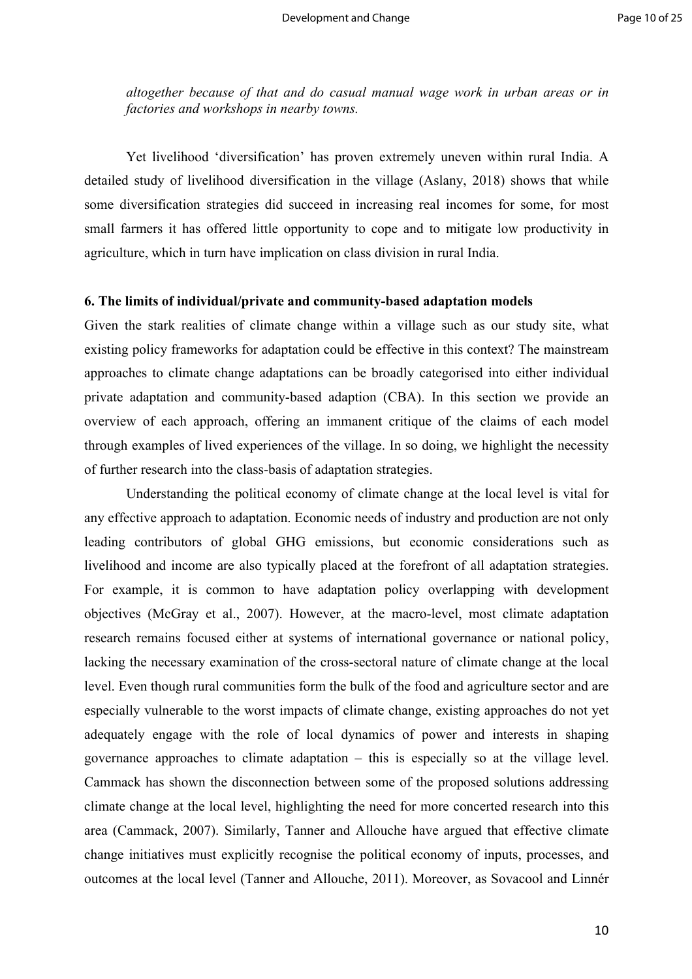*altogether because of that and do casual manual wage work in urban areas or in factories and workshops in nearby towns.* 

Yet livelihood 'diversification' has proven extremely uneven within rural India. A detailed study of livelihood diversification in the village (Aslany, 2018) shows that while some diversification strategies did succeed in increasing real incomes for some, for most small farmers it has offered little opportunity to cope and to mitigate low productivity in agriculture, which in turn have implication on class division in rural India.

## **6. The limits of individual/private and community-based adaptation models**

Given the stark realities of climate change within a village such as our study site, what existing policy frameworks for adaptation could be effective in this context? The mainstream approaches to climate change adaptations can be broadly categorised into either individual private adaptation and community-based adaption (CBA). In this section we provide an overview of each approach, offering an immanent critique of the claims of each model through examples of lived experiences of the village. In so doing, we highlight the necessity of further research into the class-basis of adaptation strategies.

Understanding the political economy of climate change at the local level is vital for any effective approach to adaptation. Economic needs of industry and production are not only leading contributors of global GHG emissions, but economic considerations such as livelihood and income are also typically placed at the forefront of all adaptation strategies. For example, it is common to have adaptation policy overlapping with development objectives (McGray et al., 2007). However, at the macro-level, most climate adaptation research remains focused either at systems of international governance or national policy, lacking the necessary examination of the cross-sectoral nature of climate change at the local level. Even though rural communities form the bulk of the food and agriculture sector and are especially vulnerable to the worst impacts of climate change, existing approaches do not yet adequately engage with the role of local dynamics of power and interests in shaping governance approaches to climate adaptation – this is especially so at the village level. Cammack has shown the disconnection between some of the proposed solutions addressing climate change at the local level, highlighting the need for more concerted research into this area (Cammack, 2007). Similarly, Tanner and Allouche have argued that effective climate change initiatives must explicitly recognise the political economy of inputs, processes, and outcomes at the local level (Tanner and Allouche, 2011). Moreover, as Sovacool and Linnér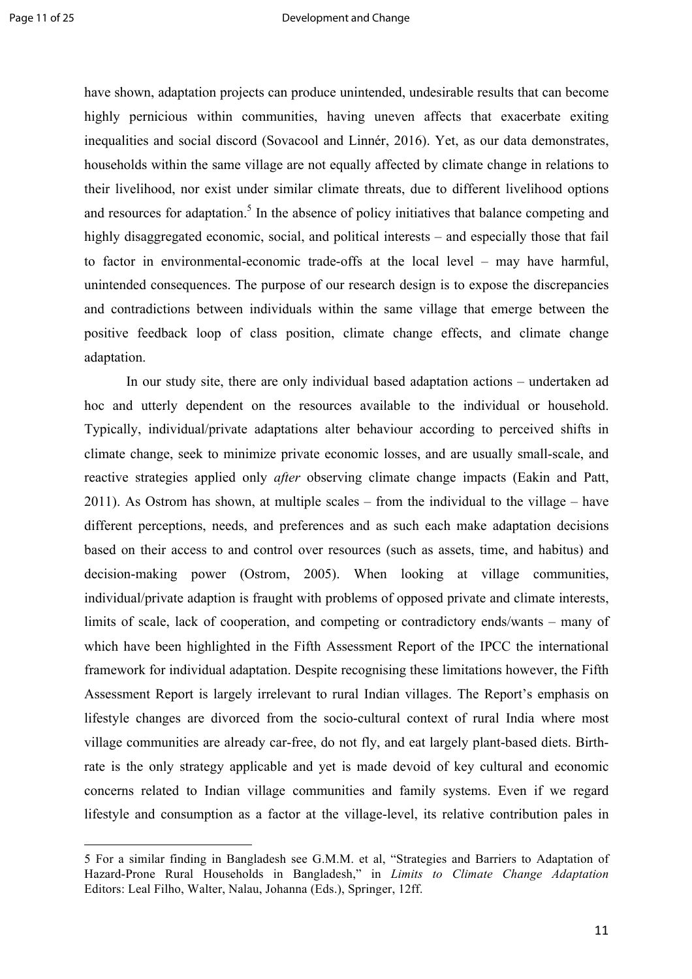have shown, adaptation projects can produce unintended, undesirable results that can become highly pernicious within communities, having uneven affects that exacerbate exiting inequalities and social discord (Sovacool and Linnér, 2016). Yet, as our data demonstrates, households within the same village are not equally affected by climate change in relations to their livelihood, nor exist under similar climate threats, due to different livelihood options and resources for adaptation.<sup>5</sup> In the absence of policy initiatives that balance competing and highly disaggregated economic, social, and political interests – and especially those that fail to factor in environmental-economic trade-offs at the local level – may have harmful, unintended consequences. The purpose of our research design is to expose the discrepancies and contradictions between individuals within the same village that emerge between the positive feedback loop of class position, climate change effects, and climate change adaptation.

In our study site, there are only individual based adaptation actions – undertaken ad hoc and utterly dependent on the resources available to the individual or household. Typically, individual/private adaptations alter behaviour according to perceived shifts in climate change, seek to minimize private economic losses, and are usually small-scale, and reactive strategies applied only *after* observing climate change impacts (Eakin and Patt, 2011). As Ostrom has shown, at multiple scales – from the individual to the village – have different perceptions, needs, and preferences and as such each make adaptation decisions based on their access to and control over resources (such as assets, time, and habitus) and decision-making power (Ostrom, 2005). When looking at village communities, individual/private adaption is fraught with problems of opposed private and climate interests, limits of scale, lack of cooperation, and competing or contradictory ends/wants – many of which have been highlighted in the Fifth Assessment Report of the IPCC the international framework for individual adaptation. Despite recognising these limitations however, the Fifth Assessment Report is largely irrelevant to rural Indian villages. The Report's emphasis on lifestyle changes are divorced from the socio-cultural context of rural India where most village communities are already car-free, do not fly, and eat largely plant-based diets. Birthrate is the only strategy applicable and yet is made devoid of key cultural and economic concerns related to Indian village communities and family systems. Even if we regard lifestyle and consumption as a factor at the village-level, its relative contribution pales in

 

<sup>5</sup> For a similar finding in Bangladesh see G.M.M. et al, "Strategies and Barriers to Adaptation of Hazard-Prone Rural Households in Bangladesh," in *Limits to Climate Change Adaptation* Editors: Leal Filho, Walter, Nalau, Johanna (Eds.), Springer, 12ff.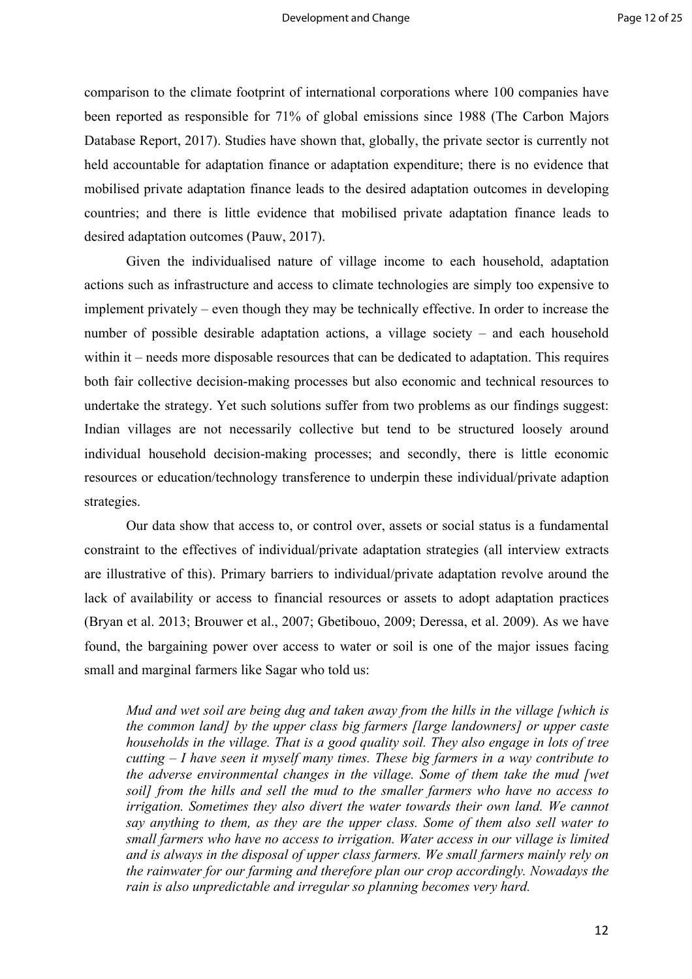comparison to the climate footprint of international corporations where 100 companies have been reported as responsible for 71% of global emissions since 1988 (The Carbon Majors Database Report, 2017). Studies have shown that, globally, the private sector is currently not held accountable for adaptation finance or adaptation expenditure; there is no evidence that mobilised private adaptation finance leads to the desired adaptation outcomes in developing countries; and there is little evidence that mobilised private adaptation finance leads to desired adaptation outcomes (Pauw, 2017).

Given the individualised nature of village income to each household, adaptation actions such as infrastructure and access to climate technologies are simply too expensive to implement privately – even though they may be technically effective. In order to increase the number of possible desirable adaptation actions, a village society – and each household within it – needs more disposable resources that can be dedicated to adaptation. This requires both fair collective decision-making processes but also economic and technical resources to undertake the strategy. Yet such solutions suffer from two problems as our findings suggest: Indian villages are not necessarily collective but tend to be structured loosely around individual household decision-making processes; and secondly, there is little economic resources or education/technology transference to underpin these individual/private adaption strategies.

Our data show that access to, or control over, assets or social status is a fundamental constraint to the effectives of individual/private adaptation strategies (all interview extracts are illustrative of this). Primary barriers to individual/private adaptation revolve around the lack of availability or access to financial resources or assets to adopt adaptation practices (Bryan et al. 2013; Brouwer et al., 2007; Gbetibouo, 2009; Deressa, et al. 2009). As we have found, the bargaining power over access to water or soil is one of the major issues facing small and marginal farmers like Sagar who told us:

*Mud and wet soil are being dug and taken away from the hills in the village [which is the common land] by the upper class big farmers [large landowners] or upper caste households in the village. That is a good quality soil. They also engage in lots of tree cutting – I have seen it myself many times. These big farmers in a way contribute to the adverse environmental changes in the village. Some of them take the mud [wet soil] from the hills and sell the mud to the smaller farmers who have no access to irrigation. Sometimes they also divert the water towards their own land. We cannot say anything to them, as they are the upper class. Some of them also sell water to small farmers who have no access to irrigation. Water access in our village is limited and is always in the disposal of upper class farmers. We small farmers mainly rely on the rainwater for our farming and therefore plan our crop accordingly. Nowadays the rain is also unpredictable and irregular so planning becomes very hard.*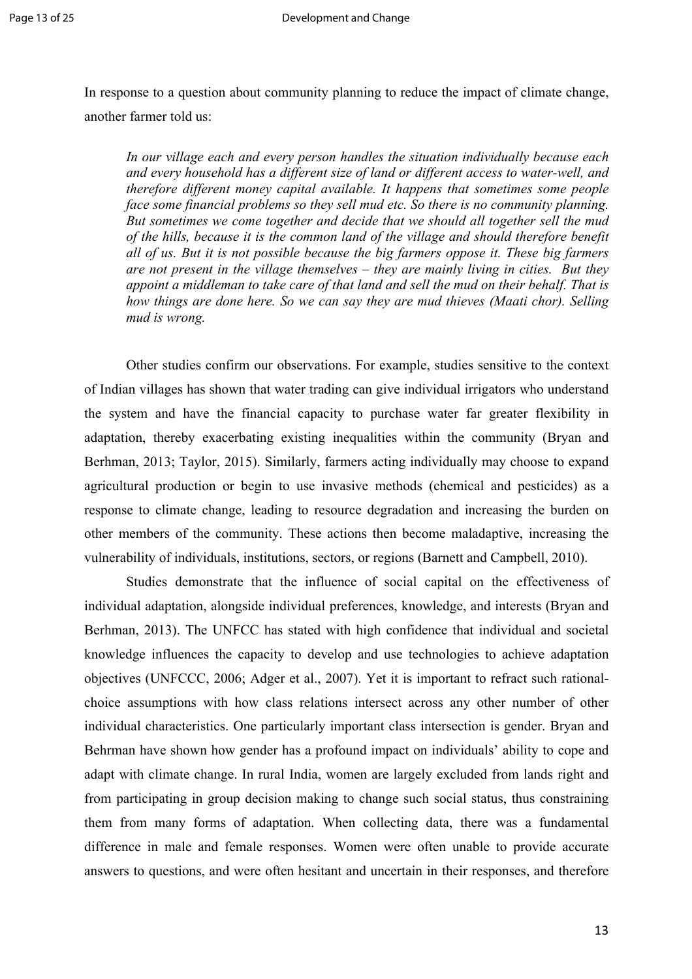In response to a question about community planning to reduce the impact of climate change, another farmer told us:

*In our village each and every person handles the situation individually because each and every household has a different size of land or different access to water-well, and therefore different money capital available. It happens that sometimes some people face some financial problems so they sell mud etc. So there is no community planning. But sometimes we come together and decide that we should all together sell the mud of the hills, because it is the common land of the village and should therefore benefit all of us. But it is not possible because the big farmers oppose it. These big farmers are not present in the village themselves – they are mainly living in cities. But they appoint a middleman to take care of that land and sell the mud on their behalf. That is how things are done here. So we can say they are mud thieves (Maati chor). Selling mud is wrong.*

Other studies confirm our observations. For example, studies sensitive to the context of Indian villages has shown that water trading can give individual irrigators who understand the system and have the financial capacity to purchase water far greater flexibility in adaptation, thereby exacerbating existing inequalities within the community (Bryan and Berhman, 2013; Taylor, 2015). Similarly, farmers acting individually may choose to expand agricultural production or begin to use invasive methods (chemical and pesticides) as a response to climate change, leading to resource degradation and increasing the burden on other members of the community. These actions then become maladaptive, increasing the vulnerability of individuals, institutions, sectors, or regions (Barnett and Campbell, 2010).

Studies demonstrate that the influence of social capital on the effectiveness of individual adaptation, alongside individual preferences, knowledge, and interests (Bryan and Berhman, 2013). The UNFCC has stated with high confidence that individual and societal knowledge influences the capacity to develop and use technologies to achieve adaptation objectives (UNFCCC, 2006; Adger et al., 2007). Yet it is important to refract such rationalchoice assumptions with how class relations intersect across any other number of other individual characteristics. One particularly important class intersection is gender. Bryan and Behrman have shown how gender has a profound impact on individuals' ability to cope and adapt with climate change. In rural India, women are largely excluded from lands right and from participating in group decision making to change such social status, thus constraining them from many forms of adaptation. When collecting data, there was a fundamental difference in male and female responses. Women were often unable to provide accurate answers to questions, and were often hesitant and uncertain in their responses, and therefore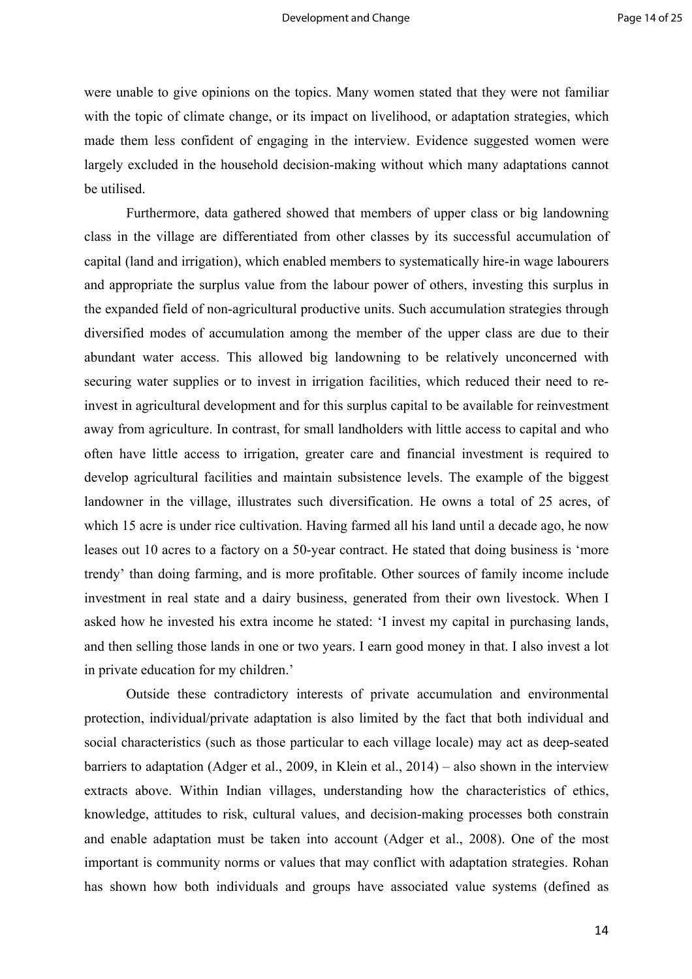were unable to give opinions on the topics. Many women stated that they were not familiar with the topic of climate change, or its impact on livelihood, or adaptation strategies, which made them less confident of engaging in the interview. Evidence suggested women were largely excluded in the household decision-making without which many adaptations cannot be utilised.

Furthermore, data gathered showed that members of upper class or big landowning class in the village are differentiated from other classes by its successful accumulation of capital (land and irrigation), which enabled members to systematically hire-in wage labourers and appropriate the surplus value from the labour power of others, investing this surplus in the expanded field of non-agricultural productive units. Such accumulation strategies through diversified modes of accumulation among the member of the upper class are due to their abundant water access. This allowed big landowning to be relatively unconcerned with securing water supplies or to invest in irrigation facilities, which reduced their need to reinvest in agricultural development and for this surplus capital to be available for reinvestment away from agriculture. In contrast, for small landholders with little access to capital and who often have little access to irrigation, greater care and financial investment is required to develop agricultural facilities and maintain subsistence levels. The example of the biggest landowner in the village, illustrates such diversification. He owns a total of 25 acres, of which 15 acre is under rice cultivation. Having farmed all his land until a decade ago, he now leases out 10 acres to a factory on a 50-year contract. He stated that doing business is 'more trendy' than doing farming, and is more profitable. Other sources of family income include investment in real state and a dairy business, generated from their own livestock. When I asked how he invested his extra income he stated: 'I invest my capital in purchasing lands, and then selling those lands in one or two years. I earn good money in that. I also invest a lot in private education for my children.'

Outside these contradictory interests of private accumulation and environmental protection, individual/private adaptation is also limited by the fact that both individual and social characteristics (such as those particular to each village locale) may act as deep-seated barriers to adaptation (Adger et al., 2009, in Klein et al., 2014) – also shown in the interview extracts above. Within Indian villages, understanding how the characteristics of ethics, knowledge, attitudes to risk, cultural values, and decision-making processes both constrain and enable adaptation must be taken into account (Adger et al., 2008). One of the most important is community norms or values that may conflict with adaptation strategies. Rohan has shown how both individuals and groups have associated value systems (defined as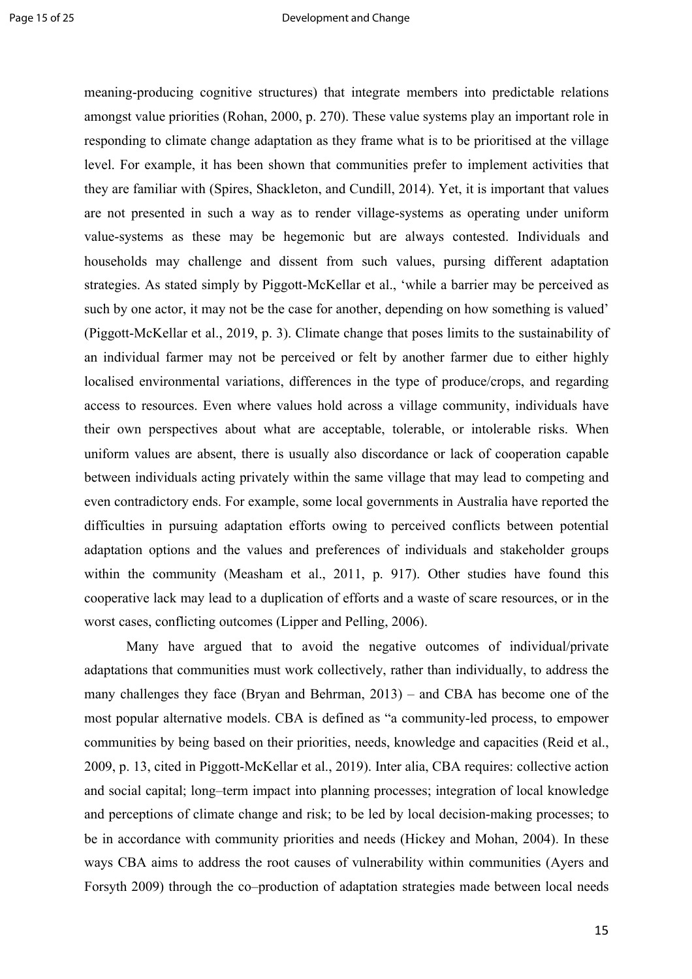meaning-producing cognitive structures) that integrate members into predictable relations amongst value priorities (Rohan, 2000, p. 270). These value systems play an important role in responding to climate change adaptation as they frame what is to be prioritised at the village level. For example, it has been shown that communities prefer to implement activities that they are familiar with (Spires, Shackleton, and Cundill, 2014). Yet, it is important that values are not presented in such a way as to render village-systems as operating under uniform value-systems as these may be hegemonic but are always contested. Individuals and households may challenge and dissent from such values, pursing different adaptation strategies. As stated simply by Piggott-McKellar et al., 'while a barrier may be perceived as such by one actor, it may not be the case for another, depending on how something is valued' (Piggott-McKellar et al., 2019, p. 3). Climate change that poses limits to the sustainability of an individual farmer may not be perceived or felt by another farmer due to either highly localised environmental variations, differences in the type of produce/crops, and regarding access to resources. Even where values hold across a village community, individuals have their own perspectives about what are acceptable, tolerable, or intolerable risks. When uniform values are absent, there is usually also discordance or lack of cooperation capable between individuals acting privately within the same village that may lead to competing and even contradictory ends. For example, some local governments in Australia have reported the difficulties in pursuing adaptation efforts owing to perceived conflicts between potential adaptation options and the values and preferences of individuals and stakeholder groups within the community (Measham et al., 2011, p. 917). Other studies have found this cooperative lack may lead to a duplication of efforts and a waste of scare resources, or in the worst cases, conflicting outcomes (Lipper and Pelling, 2006).

Many have argued that to avoid the negative outcomes of individual/private adaptations that communities must work collectively, rather than individually, to address the many challenges they face (Bryan and Behrman, 2013) – and CBA has become one of the most popular alternative models. CBA is defined as "a community-led process, to empower communities by being based on their priorities, needs, knowledge and capacities (Reid et al., 2009, p. 13, cited in Piggott-McKellar et al., 2019). Inter alia, CBA requires: collective action and social capital; long–term impact into planning processes; integration of local knowledge and perceptions of climate change and risk; to be led by local decision-making processes; to be in accordance with community priorities and needs (Hickey and Mohan, 2004). In these ways CBA aims to address the root causes of vulnerability within communities (Ayers and Forsyth 2009) through the co–production of adaptation strategies made between local needs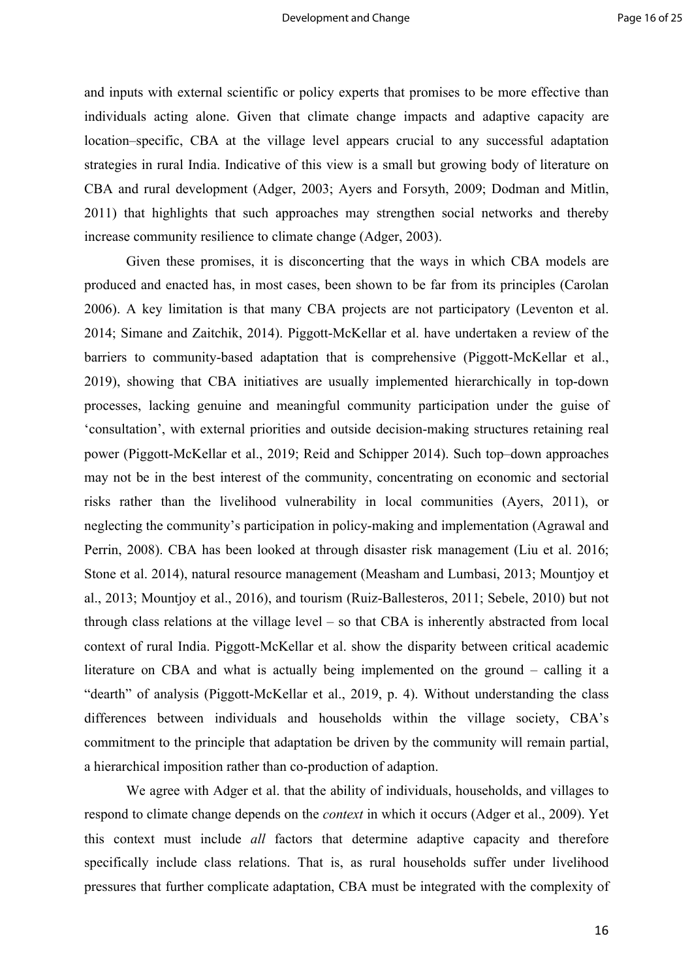and inputs with external scientific or policy experts that promises to be more effective than individuals acting alone. Given that climate change impacts and adaptive capacity are location–specific, CBA at the village level appears crucial to any successful adaptation strategies in rural India. Indicative of this view is a small but growing body of literature on CBA and rural development (Adger, 2003; Ayers and Forsyth, 2009; Dodman and Mitlin, 2011) that highlights that such approaches may strengthen social networks and thereby increase community resilience to climate change (Adger, 2003).

Given these promises, it is disconcerting that the ways in which CBA models are produced and enacted has, in most cases, been shown to be far from its principles (Carolan 2006). A key limitation is that many CBA projects are not participatory (Leventon et al. 2014; Simane and Zaitchik, 2014). Piggott-McKellar et al. have undertaken a review of the barriers to community-based adaptation that is comprehensive (Piggott-McKellar et al., 2019), showing that CBA initiatives are usually implemented hierarchically in top-down processes, lacking genuine and meaningful community participation under the guise of 'consultation', with external priorities and outside decision-making structures retaining real power (Piggott-McKellar et al., 2019; Reid and Schipper 2014). Such top–down approaches may not be in the best interest of the community, concentrating on economic and sectorial risks rather than the livelihood vulnerability in local communities (Ayers, 2011), or neglecting the community's participation in policy-making and implementation (Agrawal and Perrin, 2008). CBA has been looked at through disaster risk management (Liu et al. 2016; Stone et al. 2014), natural resource management (Measham and Lumbasi, 2013; Mountjoy et al., 2013; Mountjoy et al., 2016), and tourism (Ruiz-Ballesteros, 2011; Sebele, 2010) but not through class relations at the village level – so that CBA is inherently abstracted from local context of rural India. Piggott-McKellar et al. show the disparity between critical academic literature on CBA and what is actually being implemented on the ground – calling it a "dearth" of analysis (Piggott-McKellar et al., 2019, p. 4). Without understanding the class differences between individuals and households within the village society, CBA's commitment to the principle that adaptation be driven by the community will remain partial, a hierarchical imposition rather than co-production of adaption.

We agree with Adger et al. that the ability of individuals, households, and villages to respond to climate change depends on the *context* in which it occurs (Adger et al., 2009). Yet this context must include *all* factors that determine adaptive capacity and therefore specifically include class relations. That is, as rural households suffer under livelihood pressures that further complicate adaptation, CBA must be integrated with the complexity of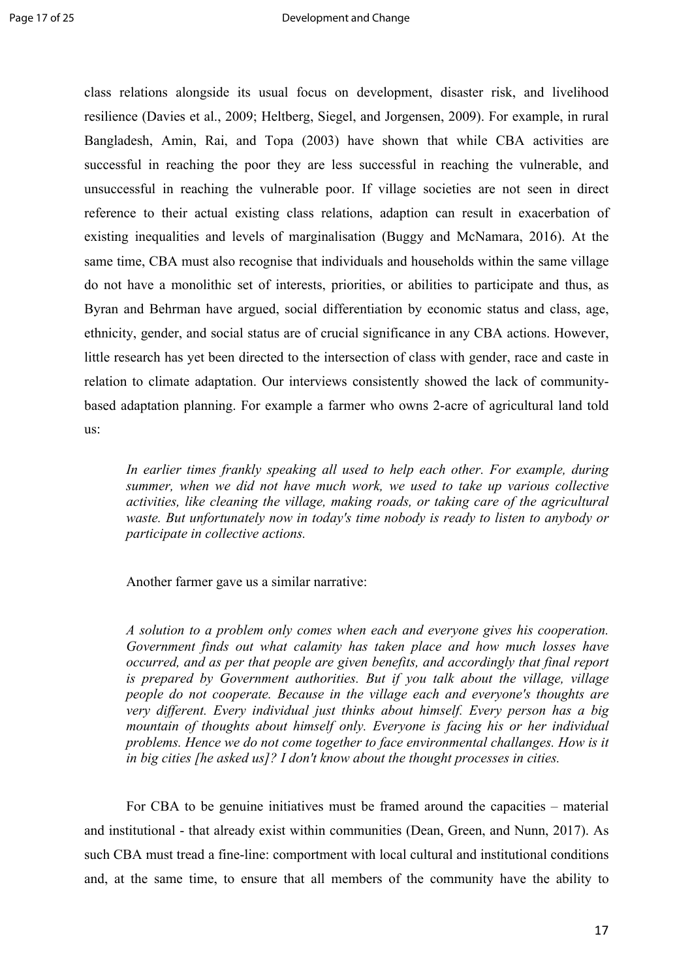class relations alongside its usual focus on development, disaster risk, and livelihood resilience (Davies et al., 2009; Heltberg, Siegel, and Jorgensen, 2009). For example, in rural Bangladesh, Amin, Rai, and Topa (2003) have shown that while CBA activities are successful in reaching the poor they are less successful in reaching the vulnerable, and unsuccessful in reaching the vulnerable poor. If village societies are not seen in direct reference to their actual existing class relations, adaption can result in exacerbation of existing inequalities and levels of marginalisation (Buggy and McNamara, 2016). At the same time, CBA must also recognise that individuals and households within the same village do not have a monolithic set of interests, priorities, or abilities to participate and thus, as Byran and Behrman have argued, social differentiation by economic status and class, age, ethnicity, gender, and social status are of crucial significance in any CBA actions. However, little research has yet been directed to the intersection of class with gender, race and caste in relation to climate adaptation. Our interviews consistently showed the lack of communitybased adaptation planning. For example a farmer who owns 2-acre of agricultural land told us:

*In earlier times frankly speaking all used to help each other. For example, during summer, when we did not have much work, we used to take up various collective activities, like cleaning the village, making roads, or taking care of the agricultural waste. But unfortunately now in today's time nobody is ready to listen to anybody or participate in collective actions.* 

Another farmer gave us a similar narrative:

*A solution to a problem only comes when each and everyone gives his cooperation. Government finds out what calamity has taken place and how much losses have occurred, and as per that people are given benefits, and accordingly that final report is prepared by Government authorities. But if you talk about the village, village people do not cooperate. Because in the village each and everyone's thoughts are very different. Every individual just thinks about himself. Every person has a big mountain of thoughts about himself only. Everyone is facing his or her individual problems. Hence we do not come together to face environmental challanges. How is it in big cities [he asked us]? I don't know about the thought processes in cities.* 

For CBA to be genuine initiatives must be framed around the capacities – material and institutional - that already exist within communities (Dean, Green, and Nunn, 2017). As such CBA must tread a fine-line: comportment with local cultural and institutional conditions and, at the same time, to ensure that all members of the community have the ability to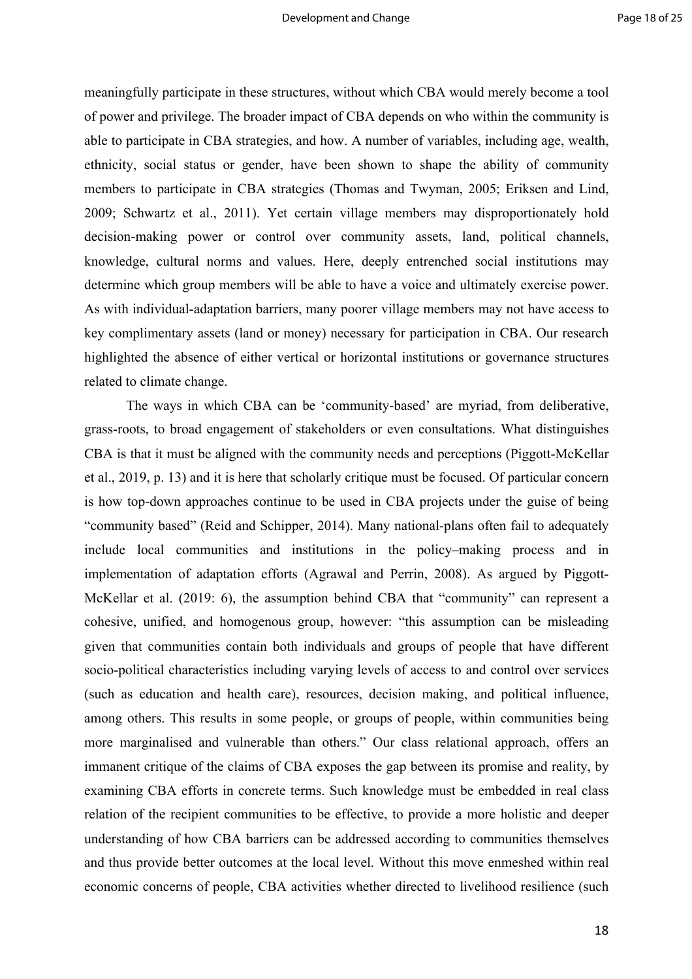meaningfully participate in these structures, without which CBA would merely become a tool of power and privilege. The broader impact of CBA depends on who within the community is able to participate in CBA strategies, and how. A number of variables, including age, wealth, ethnicity, social status or gender, have been shown to shape the ability of community members to participate in CBA strategies (Thomas and Twyman, 2005; Eriksen and Lind, 2009; Schwartz et al., 2011). Yet certain village members may disproportionately hold decision-making power or control over community assets, land, political channels, knowledge, cultural norms and values. Here, deeply entrenched social institutions may determine which group members will be able to have a voice and ultimately exercise power. As with individual-adaptation barriers, many poorer village members may not have access to key complimentary assets (land or money) necessary for participation in CBA. Our research highlighted the absence of either vertical or horizontal institutions or governance structures related to climate change.

The ways in which CBA can be 'community-based' are myriad, from deliberative, grass-roots, to broad engagement of stakeholders or even consultations. What distinguishes CBA is that it must be aligned with the community needs and perceptions (Piggott-McKellar et al., 2019, p. 13) and it is here that scholarly critique must be focused. Of particular concern is how top-down approaches continue to be used in CBA projects under the guise of being "community based" (Reid and Schipper, 2014). Many national-plans often fail to adequately include local communities and institutions in the policy–making process and in implementation of adaptation efforts (Agrawal and Perrin, 2008). As argued by Piggott-McKellar et al. (2019: 6), the assumption behind CBA that "community" can represent a cohesive, unified, and homogenous group, however: "this assumption can be misleading given that communities contain both individuals and groups of people that have different socio-political characteristics including varying levels of access to and control over services (such as education and health care), resources, decision making, and political influence, among others. This results in some people, or groups of people, within communities being more marginalised and vulnerable than others." Our class relational approach, offers an immanent critique of the claims of CBA exposes the gap between its promise and reality, by examining CBA efforts in concrete terms. Such knowledge must be embedded in real class relation of the recipient communities to be effective, to provide a more holistic and deeper understanding of how CBA barriers can be addressed according to communities themselves and thus provide better outcomes at the local level. Without this move enmeshed within real economic concerns of people, CBA activities whether directed to livelihood resilience (such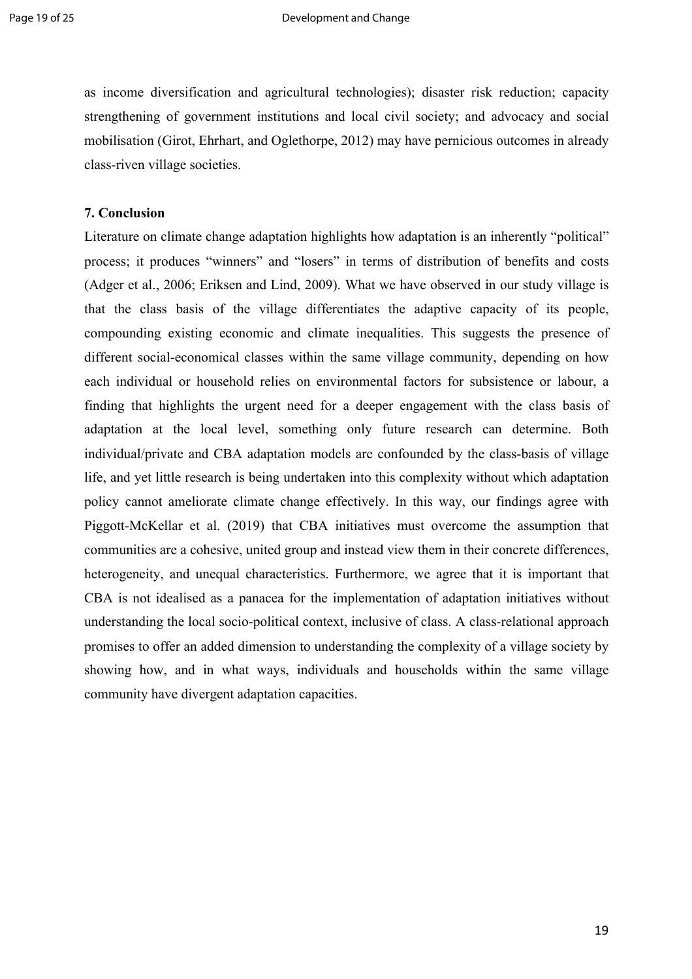as income diversification and agricultural technologies); disaster risk reduction; capacity strengthening of government institutions and local civil society; and advocacy and social mobilisation (Girot, Ehrhart, and Oglethorpe, 2012) may have pernicious outcomes in already class-riven village societies.

## **7. Conclusion**

Literature on climate change adaptation highlights how adaptation is an inherently "political" process; it produces "winners" and "losers" in terms of distribution of benefits and costs (Adger et al., 2006; Eriksen and Lind, 2009). What we have observed in our study village is that the class basis of the village differentiates the adaptive capacity of its people, compounding existing economic and climate inequalities. This suggests the presence of different social-economical classes within the same village community, depending on how each individual or household relies on environmental factors for subsistence or labour, a finding that highlights the urgent need for a deeper engagement with the class basis of adaptation at the local level, something only future research can determine. Both individual/private and CBA adaptation models are confounded by the class-basis of village life, and yet little research is being undertaken into this complexity without which adaptation policy cannot ameliorate climate change effectively. In this way, our findings agree with Piggott-McKellar et al. (2019) that CBA initiatives must overcome the assumption that communities are a cohesive, united group and instead view them in their concrete differences, heterogeneity, and unequal characteristics. Furthermore, we agree that it is important that CBA is not idealised as a panacea for the implementation of adaptation initiatives without understanding the local socio-political context, inclusive of class. A class-relational approach promises to offer an added dimension to understanding the complexity of a village society by showing how, and in what ways, individuals and households within the same village community have divergent adaptation capacities.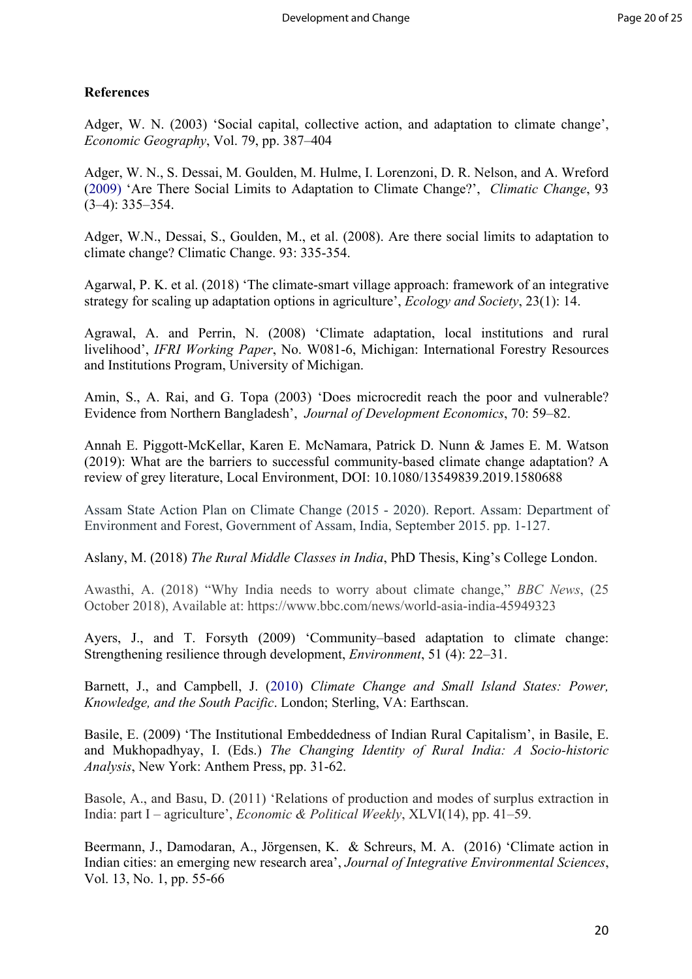## **References**

Adger, W. N. (2003) 'Social capital, collective action, and adaptation to climate change', *Economic Geography*, Vol. 79, pp. 387–404

Adger, W. N., S. Dessai, M. Goulden, M. Hulme, I. Lorenzoni, D. R. Nelson, and A. Wreford (2009) 'Are There Social Limits to Adaptation to Climate Change?', *Climatic Change*, 93 (3–4): 335–354.

Adger, W.N., Dessai, S., Goulden, M., et al. (2008). Are there social limits to adaptation to climate change? Climatic Change. 93: 335-354.

Agarwal, P. K. et al. (2018) 'The climate-smart village approach: framework of an integrative strategy for scaling up adaptation options in agriculture', *Ecology and Society*, 23(1): 14.

Agrawal, A. and Perrin, N. (2008) 'Climate adaptation, local institutions and rural livelihood', *IFRI Working Paper*, No. W081-6, Michigan: International Forestry Resources and Institutions Program, University of Michigan.

Amin, S., A. Rai, and G. Topa (2003) 'Does microcredit reach the poor and vulnerable? Evidence from Northern Bangladesh', *Journal of Development Economics*, 70: 59–82.

Annah E. Piggott-McKellar, Karen E. McNamara, Patrick D. Nunn & James E. M. Watson (2019): What are the barriers to successful community-based climate change adaptation? A review of grey literature, Local Environment, DOI: 10.1080/13549839.2019.1580688

Assam State Action Plan on Climate Change (2015 - 2020). Report. Assam: Department of Environment and Forest, Government of Assam, India, September 2015. pp. 1-127.

Aslany, M. (2018) *The Rural Middle Classes in India*, PhD Thesis, King's College London.

Awasthi, A. (2018) "Why India needs to worry about climate change," *BBC News*, (25 October 2018), Available at: https://www.bbc.com/news/world-asia-india-45949323

Ayers, J., and T. Forsyth (2009) 'Community–based adaptation to climate change: Strengthening resilience through development, *Environment*, 51 (4): 22–31.

Barnett, J., and Campbell, J. (2010) *Climate Change and Small Island States: Power, Knowledge, and the South Pacific*. London; Sterling, VA: Earthscan.

Basile, E. (2009) 'The Institutional Embeddedness of Indian Rural Capitalism', in Basile, E. and Mukhopadhyay, I. (Eds.) *The Changing Identity of Rural India: A Socio-historic Analysis*, New York: Anthem Press, pp. 31-62.

Basole, A., and Basu, D. (2011) 'Relations of production and modes of surplus extraction in India: part I – agriculture', *Economic & Political Weekly*, XLVI(14), pp. 41–59.

Beermann, J., Damodaran, A., Jörgensen, K. & Schreurs, M. A. (2016) 'Climate action in Indian cities: an emerging new research area', *Journal of Integrative Environmental Sciences*, Vol. 13, No. 1, pp. 55-66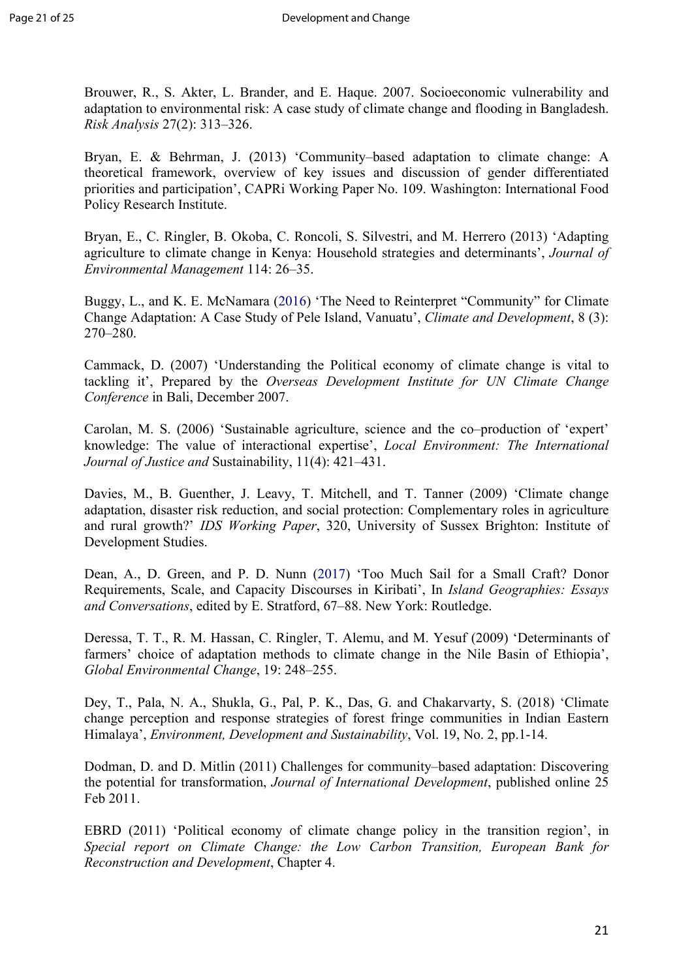Brouwer, R., S. Akter, L. Brander, and E. Haque. 2007. Socioeconomic vulnerability and adaptation to environmental risk: A case study of climate change and flooding in Bangladesh. *Risk Analysis* 27(2): 313–326.

Bryan, E. & Behrman, J. (2013) 'Community–based adaptation to climate change: A theoretical framework, overview of key issues and discussion of gender differentiated priorities and participation', CAPRi Working Paper No. 109. Washington: International Food Policy Research Institute.

Bryan, E., C. Ringler, B. Okoba, C. Roncoli, S. Silvestri, and M. Herrero (2013) 'Adapting agriculture to climate change in Kenya: Household strategies and determinants', *Journal of Environmental Management* 114: 26–35.

Buggy, L., and K. E. McNamara (2016) 'The Need to Reinterpret "Community" for Climate Change Adaptation: A Case Study of Pele Island, Vanuatu', *Climate and Development*, 8 (3): 270–280.

Cammack, D. (2007) 'Understanding the Political economy of climate change is vital to tackling it', Prepared by the *Overseas Development Institute for UN Climate Change Conference* in Bali, December 2007.

Carolan, M. S. (2006) 'Sustainable agriculture, science and the co–production of 'expert' knowledge: The value of interactional expertise', *Local Environment: The International Journal of Justice and* Sustainability, 11(4): 421–431.

Davies, M., B. Guenther, J. Leavy, T. Mitchell, and T. Tanner (2009) 'Climate change adaptation, disaster risk reduction, and social protection: Complementary roles in agriculture and rural growth?' *IDS Working Paper*, 320, University of Sussex Brighton: Institute of Development Studies.

Dean, A., D. Green, and P. D. Nunn (2017) 'Too Much Sail for a Small Craft? Donor Requirements, Scale, and Capacity Discourses in Kiribati', In *Island Geographies: Essays and Conversations*, edited by E. Stratford, 67–88. New York: Routledge.

Deressa, T. T., R. M. Hassan, C. Ringler, T. Alemu, and M. Yesuf (2009) 'Determinants of farmers' choice of adaptation methods to climate change in the Nile Basin of Ethiopia', *Global Environmental Change*, 19: 248–255.

Dey, T., Pala, N. A., Shukla, G., Pal, P. K., Das, G. and Chakarvarty, S. (2018) 'Climate change perception and response strategies of forest fringe communities in Indian Eastern Himalaya', *Environment, Development and Sustainability*, Vol. 19, No. 2, pp.1-14.

Dodman, D. and D. Mitlin (2011) Challenges for community–based adaptation: Discovering the potential for transformation, *Journal of International Development*, published online 25 Feb 2011.

EBRD (2011) 'Political economy of climate change policy in the transition region', in *Special report on Climate Change: the Low Carbon Transition, European Bank for Reconstruction and Development*, Chapter 4.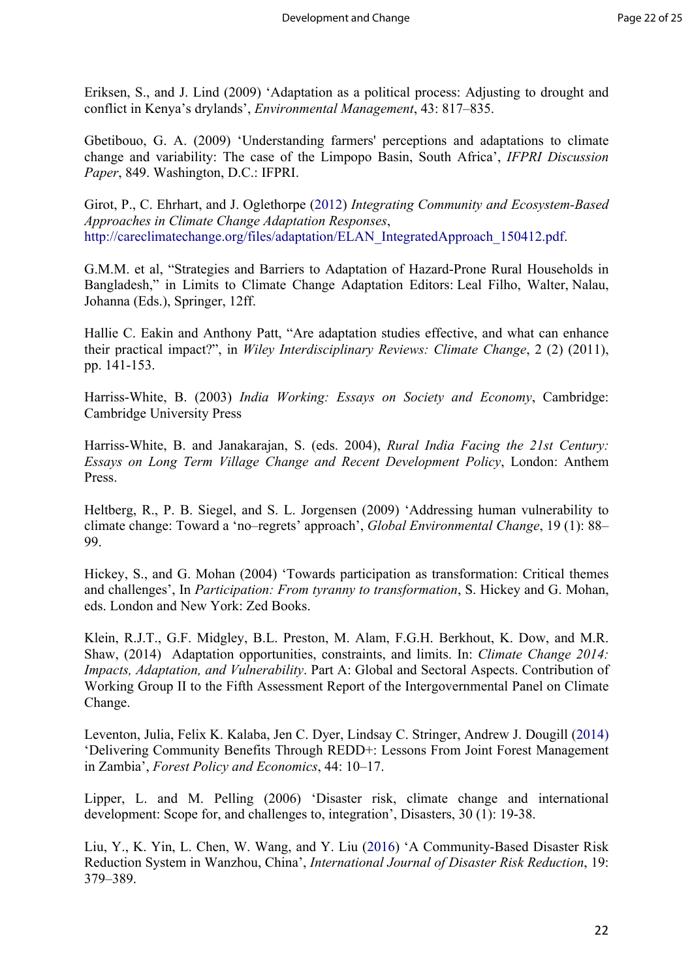Eriksen, S., and J. Lind (2009) 'Adaptation as a political process: Adjusting to drought and conflict in Kenya's drylands', *Environmental Management*, 43: 817–835.

Gbetibouo, G. A. (2009) 'Understanding farmers' perceptions and adaptations to climate change and variability: The case of the Limpopo Basin, South Africa', *IFPRI Discussion Paper*, 849. Washington, D.C.: IFPRI.

Girot, P., C. Ehrhart, and J. Oglethorpe (2012) *Integrating Community and Ecosystem-Based Approaches in Climate Change Adaptation Responses*, http://careclimatechange.org/files/adaptation/ELAN\_IntegratedApproach\_150412.pdf.

G.M.M. et al, "Strategies and Barriers to Adaptation of Hazard-Prone Rural Households in Bangladesh," in Limits to Climate Change Adaptation Editors: Leal Filho, Walter, Nalau, Johanna (Eds.), Springer, 12ff.

Hallie C. Eakin and Anthony Patt, "Are adaptation studies effective, and what can enhance their practical impact?", in *Wiley Interdisciplinary Reviews: Climate Change*, 2 (2) (2011), pp. 141-153.

Harriss-White, B. (2003) *India Working: Essays on Society and Economy*, Cambridge: Cambridge University Press

Harriss-White, B. and Janakarajan, S. (eds. 2004), *Rural India Facing the 21st Century: Essays on Long Term Village Change and Recent Development Policy*, London: Anthem Press.

Heltberg, R., P. B. Siegel, and S. L. Jorgensen (2009) 'Addressing human vulnerability to climate change: Toward a 'no–regrets' approach', *Global Environmental Change*, 19 (1): 88– 99.

Hickey, S., and G. Mohan (2004) 'Towards participation as transformation: Critical themes and challenges', In *Participation: From tyranny to transformation*, S. Hickey and G. Mohan, eds. London and New York: Zed Books.

Klein, R.J.T., G.F. Midgley, B.L. Preston, M. Alam, F.G.H. Berkhout, K. Dow, and M.R. Shaw, (2014) Adaptation opportunities, constraints, and limits. In: *Climate Change 2014: Impacts, Adaptation, and Vulnerability*. Part A: Global and Sectoral Aspects. Contribution of Working Group II to the Fifth Assessment Report of the Intergovernmental Panel on Climate Change.

Leventon, Julia, Felix K. Kalaba, Jen C. Dyer, Lindsay C. Stringer, Andrew J. Dougill (2014) 'Delivering Community Benefits Through REDD+: Lessons From Joint Forest Management in Zambia', *Forest Policy and Economics*, 44: 10–17.

Lipper, L. and M. Pelling (2006) 'Disaster risk, climate change and international development: Scope for, and challenges to, integration', Disasters, 30 (1): 19-38.

Liu, Y., K. Yin, L. Chen, W. Wang, and Y. Liu (2016) 'A Community-Based Disaster Risk Reduction System in Wanzhou, China', *International Journal of Disaster Risk Reduction*, 19: 379–389.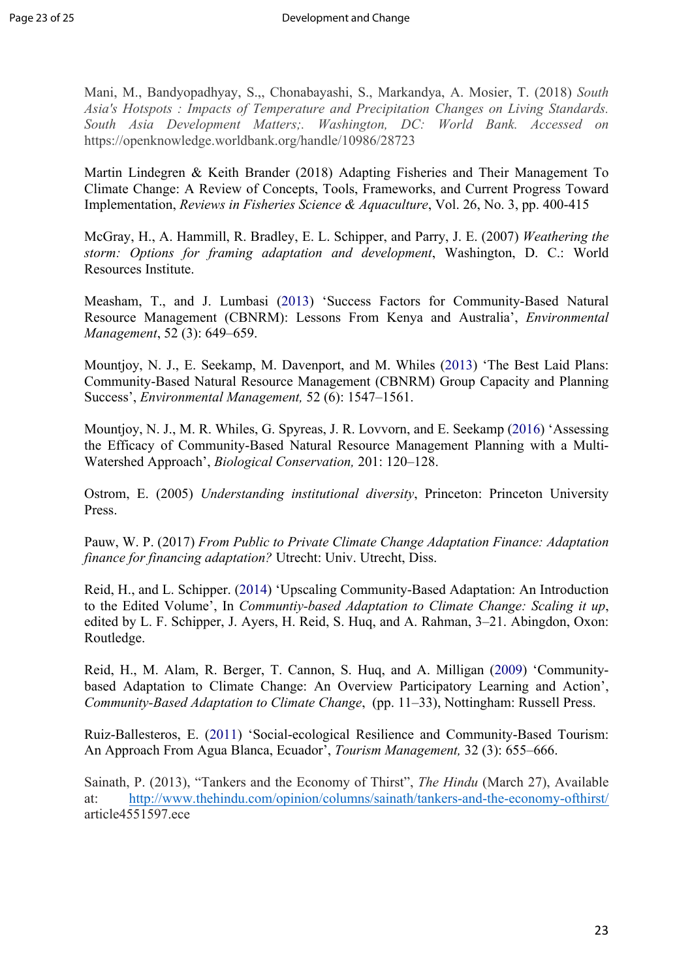Mani, M., Bandyopadhyay, S.,, Chonabayashi, S., Markandya, A. Mosier, T. (2018) *South Asia's Hotspots : Impacts of Temperature and Precipitation Changes on Living Standards. South Asia Development Matters;. Washington, DC: World Bank. Accessed on* https://openknowledge.worldbank.org/handle/10986/28723

Martin Lindegren & Keith Brander (2018) Adapting Fisheries and Their Management To Climate Change: A Review of Concepts, Tools, Frameworks, and Current Progress Toward Implementation, *Reviews in Fisheries Science & Aquaculture*, Vol. 26, No. 3, pp. 400-415

McGray, H., A. Hammill, R. Bradley, E. L. Schipper, and Parry, J. E. (2007) *Weathering the storm: Options for framing adaptation and development*, Washington, D. C.: World Resources Institute.

Measham, T., and J. Lumbasi (2013) 'Success Factors for Community-Based Natural Resource Management (CBNRM): Lessons From Kenya and Australia', *Environmental Management*, 52 (3): 649–659.

Mountjoy, N. J., E. Seekamp, M. Davenport, and M. Whiles (2013) 'The Best Laid Plans: Community-Based Natural Resource Management (CBNRM) Group Capacity and Planning Success', *Environmental Management,* 52 (6): 1547–1561.

Mountjoy, N. J., M. R. Whiles, G. Spyreas, J. R. Lovvorn, and E. Seekamp (2016) 'Assessing the Efficacy of Community-Based Natural Resource Management Planning with a Multi-Watershed Approach', *Biological Conservation,* 201: 120–128.

Ostrom, E. (2005) *Understanding institutional diversity*, Princeton: Princeton University Press.

Pauw, W. P. (2017) *From Public to Private Climate Change Adaptation Finance: Adaptation finance for financing adaptation?* Utrecht: Univ. Utrecht, Diss.

Reid, H., and L. Schipper. (2014) 'Upscaling Community-Based Adaptation: An Introduction to the Edited Volume', In *Communtiy-based Adaptation to Climate Change: Scaling it up*, edited by L. F. Schipper, J. Ayers, H. Reid, S. Huq, and A. Rahman, 3–21. Abingdon, Oxon: Routledge.

Reid, H., M. Alam, R. Berger, T. Cannon, S. Huq, and A. Milligan (2009) 'Communitybased Adaptation to Climate Change: An Overview Participatory Learning and Action', *Community-Based Adaptation to Climate Change*, (pp. 11–33), Nottingham: Russell Press.

Ruiz-Ballesteros, E. (2011) 'Social-ecological Resilience and Community-Based Tourism: An Approach From Agua Blanca, Ecuador', *Tourism Management,* 32 (3): 655–666.

Sainath, P. (2013), "Tankers and the Economy of Thirst", *The Hindu* (March 27), Available at: http://www.thehindu.com/opinion/columns/sainath/tankers-and-the-economy-ofthirst/ article4551597.ece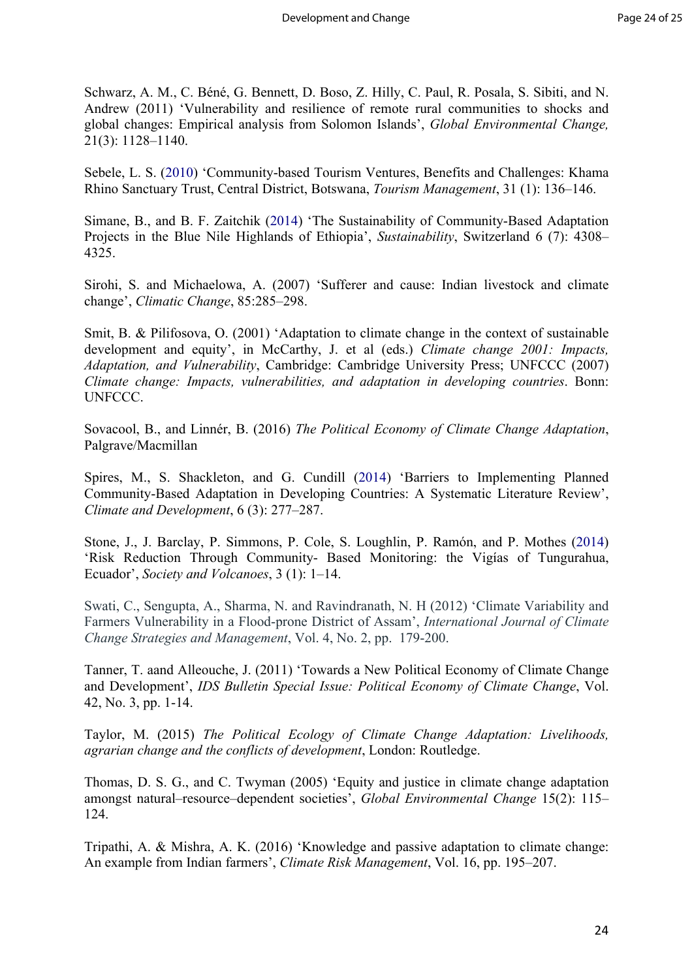Schwarz, A. M., C. Béné, G. Bennett, D. Boso, Z. Hilly, C. Paul, R. Posala, S. Sibiti, and N. Andrew (2011) 'Vulnerability and resilience of remote rural communities to shocks and global changes: Empirical analysis from Solomon Islands', *Global Environmental Change,*  21(3): 1128–1140.

Sebele, L. S. (2010) 'Community-based Tourism Ventures, Benefits and Challenges: Khama Rhino Sanctuary Trust, Central District, Botswana, *Tourism Management*, 31 (1): 136–146.

Simane, B., and B. F. Zaitchik (2014) 'The Sustainability of Community-Based Adaptation Projects in the Blue Nile Highlands of Ethiopia', *Sustainability*, Switzerland 6 (7): 4308– 4325.

Sirohi, S. and Michaelowa, A. (2007) 'Sufferer and cause: Indian livestock and climate change', *Climatic Change*, 85:285–298.

Smit, B. & Pilifosova, O. (2001) 'Adaptation to climate change in the context of sustainable development and equity', in McCarthy, J. et al (eds.) *Climate change 2001: Impacts, Adaptation, and Vulnerability*, Cambridge: Cambridge University Press; UNFCCC (2007) *Climate change: Impacts, vulnerabilities, and adaptation in developing countries*. Bonn: UNFCCC.

Sovacool, B., and Linnér, B. (2016) *The Political Economy of Climate Change Adaptation*, Palgrave/Macmillan

Spires, M., S. Shackleton, and G. Cundill (2014) 'Barriers to Implementing Planned Community-Based Adaptation in Developing Countries: A Systematic Literature Review', *Climate and Development*, 6 (3): 277–287.

Stone, J., J. Barclay, P. Simmons, P. Cole, S. Loughlin, P. Ramón, and P. Mothes (2014) 'Risk Reduction Through Community- Based Monitoring: the Vigías of Tungurahua, Ecuador', *Society and Volcanoes*, 3 (1): 1–14.

Swati, C., Sengupta, A., Sharma, N. and Ravindranath, N. H (2012) 'Climate Variability and Farmers Vulnerability in a Flood-prone District of Assam', *International Journal of Climate Change Strategies and Management*, Vol. 4, No. 2, pp. 179-200.

Tanner, T. aand Alleouche, J. (2011) 'Towards a New Political Economy of Climate Change and Development', *IDS Bulletin Special Issue: Political Economy of Climate Change*, Vol. 42, No. 3, pp. 1-14.

Taylor, M. (2015) *The Political Ecology of Climate Change Adaptation: Livelihoods, agrarian change and the conflicts of development*, London: Routledge.

Thomas, D. S. G., and C. Twyman (2005) 'Equity and justice in climate change adaptation amongst natural–resource–dependent societies', *Global Environmental Change* 15(2): 115– 124.

Tripathi, A. & Mishra, A. K. (2016) 'Knowledge and passive adaptation to climate change: An example from Indian farmers', *Climate Risk Management*, Vol. 16, pp. 195–207.